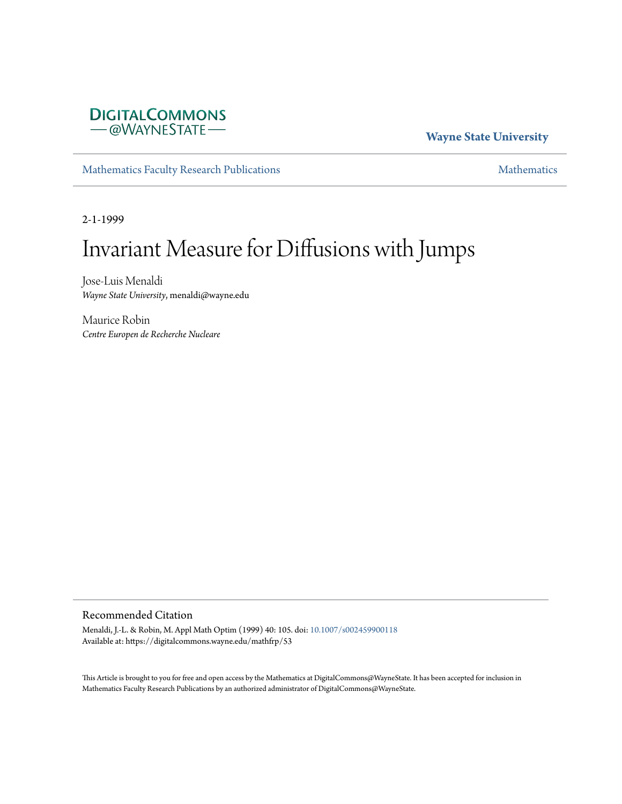

#### **Wayne State University**

[Mathematics Faculty Research Publications](https://digitalcommons.wayne.edu/mathfrp) **[Mathematics](https://digitalcommons.wayne.edu/math)** Mathematics

2-1-1999

# Invariant Measure for Diffusions with Jumps

Jose-Luis Menaldi *Wayne State University*, menaldi@wayne.edu

Maurice Robin *Centre Europen de Recherche Nucleare*

#### Recommended Citation

Menaldi, J.-L. & Robin, M. Appl Math Optim (1999) 40: 105. doi: [10.1007/s002459900118](https://dx.doi.org/10.1007/s002459900118) Available at: https://digitalcommons.wayne.edu/mathfrp/53

This Article is brought to you for free and open access by the Mathematics at DigitalCommons@WayneState. It has been accepted for inclusion in Mathematics Faculty Research Publications by an authorized administrator of DigitalCommons@WayneState.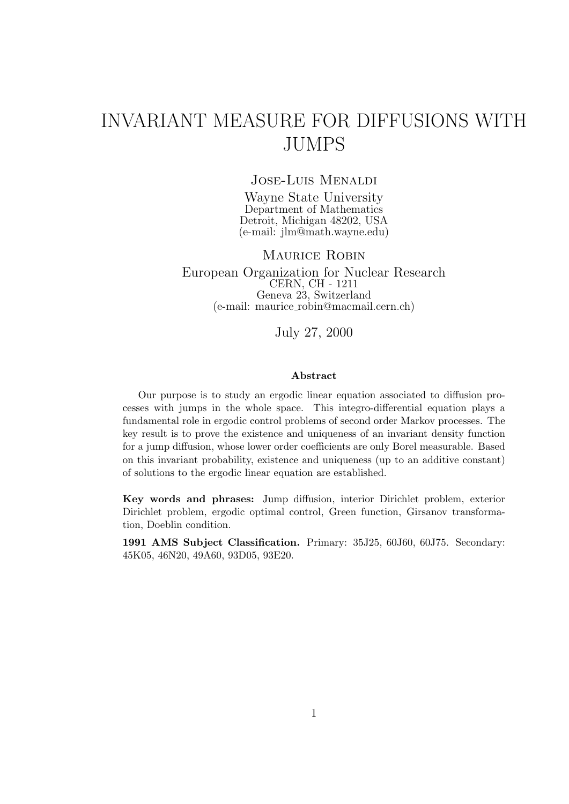## INVARIANT MEASURE FOR DIFFUSIONS WITH JUMPS

#### Jose-Luis Menaldi

Wayne State University Department of Mathematics Detroit, Michigan 48202, USA (e-mail: jlm@math.wayne.edu)

#### MAURICE ROBIN

European Organization for Nuclear Research CERN, CH - 1211 Geneva 23, Switzerland (e-mail: maurice robin@macmail.cern.ch)

#### July 27, 2000

#### **Abstract**

Our purpose is to study an ergodic linear equation associated to diffusion processes with jumps in the whole space. This integro-differential equation plays a fundamental role in ergodic control problems of second order Markov processes. The key result is to prove the existence and uniqueness of an invariant density function for a jump diffusion, whose lower order coefficients are only Borel measurable. Based on this invariant probability, existence and uniqueness (up to an additive constant) of solutions to the ergodic linear equation are established.

**Key words and phrases:** Jump diffusion, interior Dirichlet problem, exterior Dirichlet problem, ergodic optimal control, Green function, Girsanov transformation, Doeblin condition.

**1991 AMS Subject Classification.** Primary: 35J25, 60J60, 60J75. Secondary: 45K05, 46N20, 49A60, 93D05, 93E20.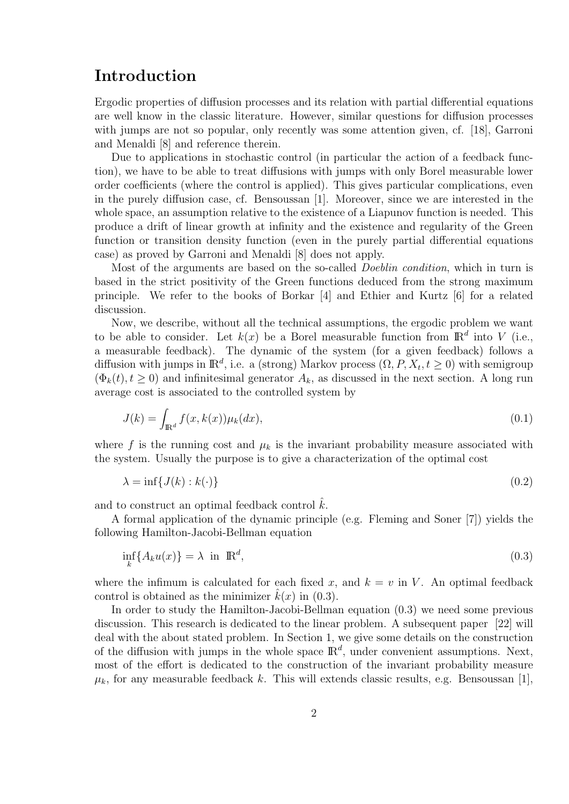### **Introduction**

Ergodic properties of diffusion processes and its relation with partial differential equations are well know in the classic literature. However, similar questions for diffusion processes with jumps are not so popular, only recently was some attention given, cf. [18], Garroni and Menaldi [8] and reference therein.

Due to applications in stochastic control (in particular the action of a feedback function), we have to be able to treat diffusions with jumps with only Borel measurable lower order coefficients (where the control is applied). This gives particular complications, even in the purely diffusion case, cf. Bensoussan [1]. Moreover, since we are interested in the whole space, an assumption relative to the existence of a Liapunov function is needed. This produce a drift of linear growth at infinity and the existence and regularity of the Green function or transition density function (even in the purely partial differential equations case) as proved by Garroni and Menaldi [8] does not apply.

Most of the arguments are based on the so-called *Doeblin condition*, which in turn is based in the strict positivity of the Green functions deduced from the strong maximum principle. We refer to the books of Borkar [4] and Ethier and Kurtz [6] for a related discussion.

Now, we describe, without all the technical assumptions, the ergodic problem we want to be able to consider. Let  $k(x)$  be a Borel measurable function from  $\mathbb{R}^d$  into *V* (i.e., a measurable feedback). The dynamic of the system (for a given feedback) follows a diffusion with jumps in  $\mathbb{R}^d$ , i.e. a (strong) Markov process  $(\Omega, P, X_t, t \geq 0)$  with semigroup  $(\Phi_k(t), t \geq 0)$  and infinitesimal generator  $A_k$ , as discussed in the next section. A long run average cost is associated to the controlled system by

$$
J(k) = \int_{\mathbb{R}^d} f(x, k(x)) \mu_k(dx), \qquad (0.1)
$$

where f is the running cost and  $\mu_k$  is the invariant probability measure associated with the system. Usually the purpose is to give a characterization of the optimal cost

$$
\lambda = \inf \{ J(k) : k(\cdot) \} \tag{0.2}
$$

and to construct an optimal feedback control  $k$ .

A formal application of the dynamic principle (e.g. Fleming and Soner [7]) yields the following Hamilton-Jacobi-Bellman equation

$$
\inf_{k} \{ A_k u(x) \} = \lambda \text{ in } \mathbb{R}^d,
$$
\n(0.3)

where the infimum is calculated for each fixed x, and  $k = v$  in V. An optimal feedback control is obtained as the minimizer  $k(x)$  in (0.3).

In order to study the Hamilton-Jacobi-Bellman equation (0.3) we need some previous discussion. This research is dedicated to the linear problem. A subsequent paper [22] will deal with the about stated problem. In Section 1, we give some details on the construction of the diffusion with jumps in the whole space  $\mathbb{R}^d$ , under convenient assumptions. Next, most of the effort is dedicated to the construction of the invariant probability measure  $\mu_k$ , for any measurable feedback *k*. This will extends classic results, e.g. Bensoussan [1],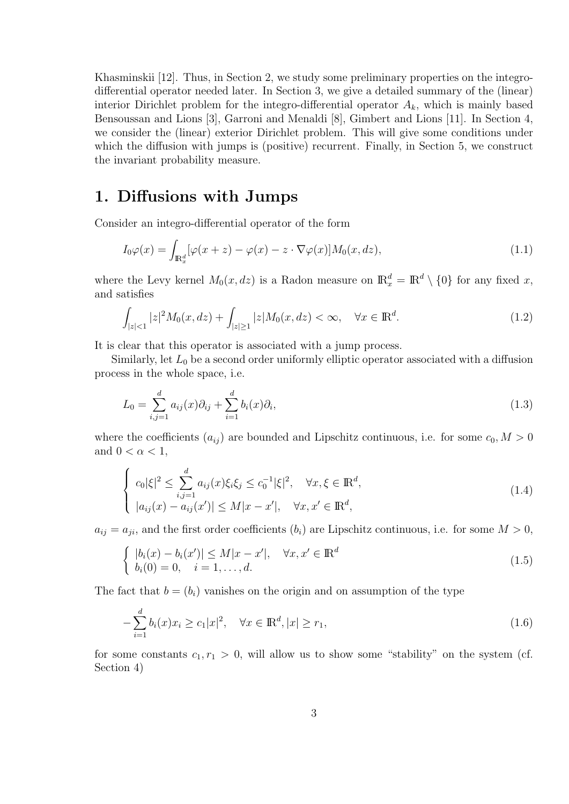Khasminskii [12]. Thus, in Section 2, we study some preliminary properties on the integrodifferential operator needed later. In Section 3, we give a detailed summary of the (linear) interior Dirichlet problem for the integro-differential operator  $A_k$ , which is mainly based Bensoussan and Lions [3], Garroni and Menaldi [8], Gimbert and Lions [11]. In Section 4, we consider the (linear) exterior Dirichlet problem. This will give some conditions under which the diffusion with jumps is (positive) recurrent. Finally, in Section 5, we construct the invariant probability measure.

### **1. Diffusions with Jumps**

Consider an integro-differential operator of the form

$$
I_0\varphi(x) = \int_{\mathbb{R}_x^d} [\varphi(x+z) - \varphi(x) - z \cdot \nabla \varphi(x)] M_0(x, dz), \tag{1.1}
$$

where the Levy kernel  $M_0(x, dz)$  is a Radon measure on  $\mathbb{R}_x^d = \mathbb{R}^d \setminus \{0\}$  for any fixed x, and satisfies

$$
\int_{|z| < 1} |z|^2 M_0(x, dz) + \int_{|z| \ge 1} |z| M_0(x, dz) < \infty, \quad \forall x \in \mathbb{R}^d. \tag{1.2}
$$

It is clear that this operator is associated with a jump process.

Similarly, let  $L_0$  be a second order uniformly elliptic operator associated with a diffusion process in the whole space, i.e.

$$
L_0 = \sum_{i,j=1}^d a_{ij}(x)\partial_{ij} + \sum_{i=1}^d b_i(x)\partial_i,
$$
\n(1.3)

where the coefficients  $(a_{ij})$  are bounded and Lipschitz continuous, i.e. for some  $c_0, M > 0$ and  $0 < \alpha < 1$ ,

$$
\begin{cases}\nc_0|\xi|^2 \leq \sum_{i,j=1}^d a_{ij}(x)\xi_i\xi_j \leq c_0^{-1}|\xi|^2, & \forall x, \xi \in \mathbb{R}^d, \\
|a_{ij}(x) - a_{ij}(x')| \leq M|x - x'|, & \forall x, x' \in \mathbb{R}^d,\n\end{cases}
$$
\n(1.4)

 $a_{ij} = a_{ji}$ , and the first order coefficients  $(b_i)$  are Lipschitz continuous, i.e. for some  $M > 0$ ,

$$
\begin{cases} |b_i(x) - b_i(x')| \le M|x - x'|, & \forall x, x' \in \mathbb{R}^d \\ b_i(0) = 0, & i = 1, ..., d. \end{cases}
$$
\n(1.5)

The fact that  $b = (b_i)$  vanishes on the origin and on assumption of the type

$$
-\sum_{i=1}^{d} b_i(x)x_i \ge c_1|x|^2, \quad \forall x \in \mathbb{R}^d, |x| \ge r_1,
$$
\n(1.6)

for some constants  $c_1, r_1 > 0$ , will allow us to show some "stability" on the system (cf. Section 4)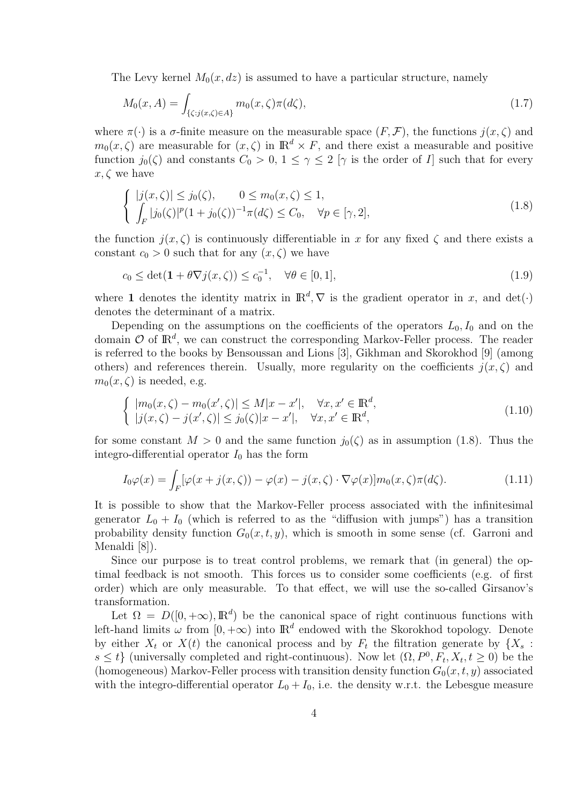The Levy kernel  $M_0(x, dz)$  is assumed to have a particular structure, namely

$$
M_0(x, A) = \int_{\{\zeta : j(x, \zeta) \in A\}} m_0(x, \zeta) \pi(d\zeta), \tag{1.7}
$$

where  $\pi(\cdot)$  is a  $\sigma$ -finite measure on the measurable space  $(F, \mathcal{F})$ , the functions  $j(x, \zeta)$  and  $m_0(x,\zeta)$  are measurable for  $(x,\zeta)$  in  $\mathbb{R}^d \times F$ , and there exist a measurable and positive function  $j_0(\zeta)$  and constants  $C_0 > 0$ ,  $1 \leq \gamma \leq 2$  [ $\gamma$  is the order of *I*] such that for every *x, ζ* we have

$$
\begin{cases} |j(x,\zeta)| \le j_0(\zeta), & 0 \le m_0(x,\zeta) \le 1, \\ \int_F |j_0(\zeta)|^p (1+j_0(\zeta))^{-1} \pi(d\zeta) \le C_0, & \forall p \in [\gamma,2], \end{cases}
$$
(1.8)

the function  $j(x, \zeta)$  is continuously differentiable in x for any fixed  $\zeta$  and there exists a constant  $c_0 > 0$  such that for any  $(x, \zeta)$  we have

$$
c_0 \le \det(\mathbf{1} + \theta \nabla j(x, \zeta)) \le c_0^{-1}, \quad \forall \theta \in [0, 1], \tag{1.9}
$$

where **1** denotes the identity matrix in  $\mathbb{R}^d$ ,  $\nabla$  is the gradient operator in *x*, and det(*·*) denotes the determinant of a matrix.

Depending on the assumptions on the coefficients of the operators  $L_0, I_0$  and on the domain  $\mathcal O$  of  $\mathbb R^d$ , we can construct the corresponding Markov-Feller process. The reader is referred to the books by Bensoussan and Lions [3], Gikhman and Skorokhod [9] (among others) and references therein. Usually, more regularity on the coefficients  $j(x,\zeta)$  and  $m_0(x,\zeta)$  is needed, e.g.

$$
\begin{cases} |m_0(x,\zeta) - m_0(x',\zeta)| \le M|x - x'|, & \forall x, x' \in \mathbb{R}^d, \\ |j(x,\zeta) - j(x',\zeta)| \le j_0(\zeta)|x - x'|, & \forall x, x' \in \mathbb{R}^d, \end{cases}
$$
(1.10)

for some constant  $M > 0$  and the same function  $j_0(\zeta)$  as in assumption (1.8). Thus the integro-differential operator  $I_0$  has the form

$$
I_0\varphi(x) = \int_F [\varphi(x + j(x,\zeta)) - \varphi(x) - j(x,\zeta) \cdot \nabla \varphi(x)] m_0(x,\zeta) \pi(d\zeta).
$$
 (1.11)

It is possible to show that the Markov-Feller process associated with the infinitesimal generator  $L_0 + I_0$  (which is referred to as the "diffusion with jumps") has a transition probability density function  $G_0(x, t, y)$ , which is smooth in some sense (cf. Garroni and Menaldi [8]).

Since our purpose is to treat control problems, we remark that (in general) the optimal feedback is not smooth. This forces us to consider some coefficients (e.g. of first order) which are only measurable. To that effect, we will use the so-called Girsanov's transformation.

Let  $\Omega = D([0, +\infty), \mathbb{R}^d)$  be the canonical space of right continuous functions with left-hand limits  $\omega$  from  $[0, +\infty)$  into  $\mathbb{R}^d$  endowed with the Skorokhod topology. Denote by either  $X_t$  or  $X(t)$  the canonical process and by  $F_t$  the filtration generate by  $\{X_s$ :  $s \leq t$  (universally completed and right-continuous). Now let  $(\Omega, P^0, F_t, X_t, t \geq 0)$  be the (homogeneous) Markov-Feller process with transition density function  $G_0(x, t, y)$  associated with the integro-differential operator  $L_0 + I_0$ , i.e. the density w.r.t. the Lebesgue measure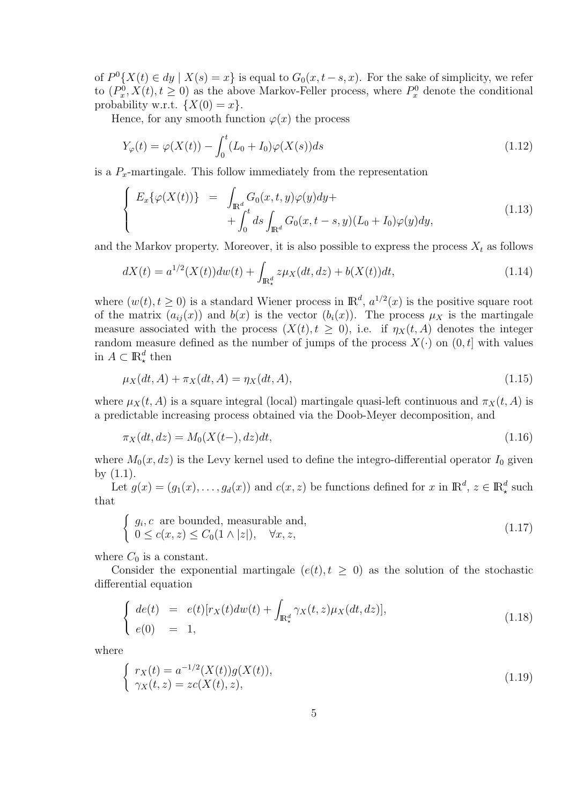of  $P^{0}{X(t) \in dy \mid X(s) = x}$  is equal to  $G_0(x, t - s, x)$ . For the sake of simplicity, we refer to  $(P_x^0, X(t), t \ge 0)$  as the above Markov-Feller process, where  $P_x^0$  denote the conditional probability w.r.t.  ${X(0) = x}$ .

Hence, for any smooth function  $\varphi(x)$  the process

$$
Y_{\varphi}(t) = \varphi(X(t)) - \int_0^t (L_0 + I_0)\varphi(X(s))ds
$$
\n(1.12)

is a  $P<sub>x</sub>$ -martingale. This follow immediately from the representation

$$
\begin{cases}\nE_x\{\varphi(X(t))\} = \int_{\mathbb{R}^d} G_0(x, t, y)\varphi(y)dy + \\
+ \int_0^t ds \int_{\mathbb{R}^d} G_0(x, t - s, y)(L_0 + I_0)\varphi(y)dy,\n\end{cases} \tag{1.13}
$$

and the Markov property. Moreover, it is also possible to express the process  $X_t$  as follows

$$
dX(t) = a^{1/2}(X(t))dw(t) + \int_{\mathbb{R}^d_*} z\mu_X(dt, dz) + b(X(t))dt,
$$
\n(1.14)

where  $(w(t), t \ge 0)$  is a standard Wiener process in  $\mathbb{R}^d$ ,  $a^{1/2}(x)$  is the positive square root of the matrix  $(a_{ij}(x))$  and  $b(x)$  is the vector  $(b_i(x))$ . The process  $\mu_X$  is the martingale measure associated with the process  $(X(t), t \geq 0)$ , i.e. if  $\eta_X(t, A)$  denotes the integer random measure defined as the number of jumps of the process  $X(\cdot)$  on  $(0, t]$  with values in  $A \subset \mathbb{R}^d_*$  then

$$
\mu_X(dt, A) + \pi_X(dt, A) = \eta_X(dt, A), \tag{1.15}
$$

where  $\mu_X(t, A)$  is a square integral (local) martingale quasi-left continuous and  $\pi_X(t, A)$  is a predictable increasing process obtained via the Doob-Meyer decomposition, and

$$
\pi_X(dt, dz) = M_0(X(t-), dz)dt, \tag{1.16}
$$

where  $M_0(x, dz)$  is the Levy kernel used to define the integro-differential operator  $I_0$  given by  $(1.1)$ .

Let  $g(x) = (g_1(x), \ldots, g_d(x))$  and  $c(x, z)$  be functions defined for  $x$  in  $\mathbb{R}^d$ ,  $z \in \mathbb{R}^d$  such that

$$
\begin{cases} g_i, c \text{ are bounded, measurable and,} \\ 0 \le c(x, z) \le C_0(1 \wedge |z|), \quad \forall x, z, \end{cases}
$$
\n(1.17)

where  $C_0$  is a constant.

Consider the exponential martingale  $(e(t), t \geq 0)$  as the solution of the stochastic differential equation

$$
\begin{cases}\n\det(t) &= e(t)[r_X(t)dw(t) + \int_{\mathbb{R}^d_*} \gamma_X(t,z)\mu_X(dt,dz)], \\
e(0) &= 1,\n\end{cases}\n\tag{1.18}
$$

where

$$
\begin{cases}\nr_X(t) = a^{-1/2}(X(t))g(X(t)), \\
\gamma_X(t,z) = z c(X(t),z),\n\end{cases} (1.19)
$$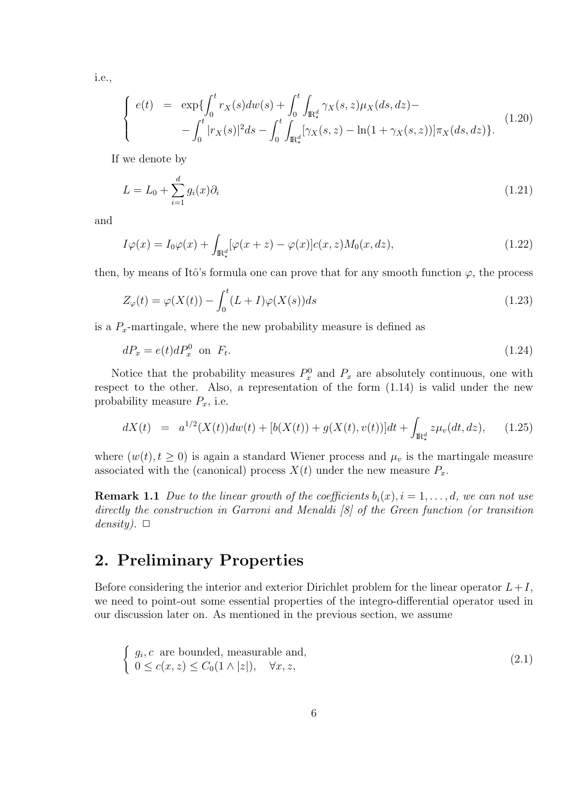i.e.,

$$
\begin{cases}\ne(t) = \exp\{\int_0^t r_X(s)dw(s) + \int_0^t \int_{\mathbb{R}^d_*} \gamma_X(s, z)\mu_X(ds, dz) - \\ - \int_0^t |r_X(s)|^2 ds - \int_0^t \int_{\mathbb{R}^d_*} [\gamma_X(s, z) - \ln(1 + \gamma_X(s, z))] \pi_X(ds, dz)\}.\n\end{cases} \tag{1.20}
$$

If we denote by

$$
L = L_0 + \sum_{i=1}^{d} g_i(x)\partial_i
$$
\n(1.21)

and

$$
I\varphi(x) = I_0\varphi(x) + \int_{\mathbb{R}^d_*} [\varphi(x+z) - \varphi(x)]c(x,z)M_0(x,dz), \qquad (1.22)
$$

then, by means of Itô's formula one can prove that for any smooth function  $\varphi$ , the process

$$
Z_{\varphi}(t) = \varphi(X(t)) - \int_0^t (L+I)\varphi(X(s))ds
$$
\n(1.23)

is a  $P_x$ -martingale, where the new probability measure is defined as

$$
dP_x = e(t)dP_x^0 \quad \text{on} \quad F_t. \tag{1.24}
$$

Notice that the probability measures  $P_x^0$  and  $P_x$  are absolutely continuous, one with respect to the other. Also, a representation of the form (1.14) is valid under the new probability measure *Px*, i.e.

$$
dX(t) = a^{1/2}(X(t))dw(t) + [b(X(t)) + g(X(t), v(t))]dt + \int_{\mathbb{R}^d_*} z\mu_v(dt, dz), \qquad (1.25)
$$

where  $(w(t), t \geq 0)$  is again a standard Wiener process and  $\mu_v$  is the martingale measure associated with the (canonical) process  $X(t)$  under the new measure  $P_x$ .

**Remark 1.1** *Due to the linear growth of the coefficients*  $b_i(x)$ *,*  $i = 1, \ldots, d$ *, we can not use directly the construction in Garroni and Menaldi [8] of the Green function (or transition*  $density). \ \Box$ 

### **2. Preliminary Properties**

Before considering the interior and exterior Dirichlet problem for the linear operator  $L+I$ , we need to point-out some essential properties of the integro-differential operator used in our discussion later on. As mentioned in the previous section, we assume

$$
\begin{cases} g_i, c \text{ are bounded, measurable and,} \\ 0 \le c(x, z) \le C_0(1 \wedge |z|), \quad \forall x, z, \end{cases}
$$
 (2.1)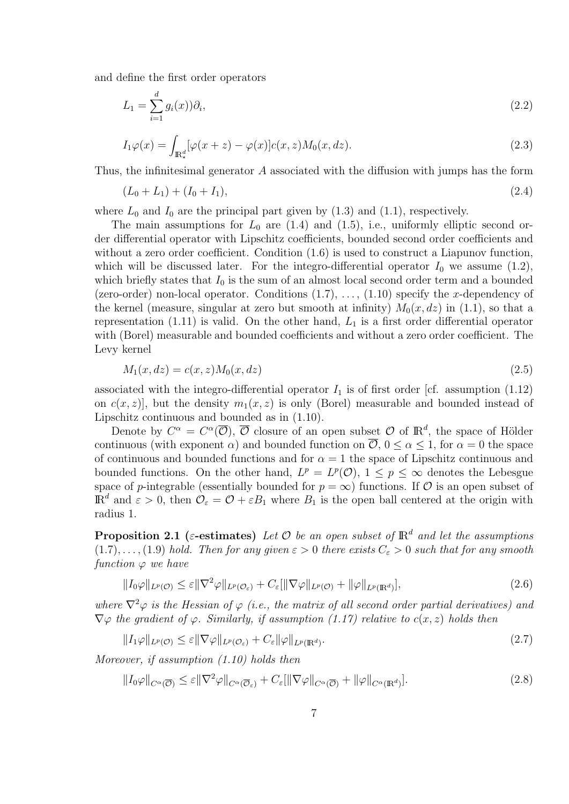and define the first order operators

$$
L_1 = \sum_{i=1}^{d} g_i(x) \partial_i,
$$
\n(2.2)

$$
I_1\varphi(x) = \int_{\mathbb{R}^d_*} [\varphi(x+z) - \varphi(x)]c(x,z)M_0(x,dz). \tag{2.3}
$$

Thus, the infinitesimal generator *A* associated with the diffusion with jumps has the form

$$
(L_0 + L_1) + (I_0 + I_1), \tag{2.4}
$$

where  $L_0$  and  $I_0$  are the principal part given by  $(1.3)$  and  $(1.1)$ , respectively.

The main assumptions for  $L_0$  are  $(1.4)$  and  $(1.5)$ , i.e., uniformly elliptic second order differential operator with Lipschitz coefficients, bounded second order coefficients and without a zero order coefficient. Condition  $(1.6)$  is used to construct a Liapunov function, which will be discussed later. For the integro-differential operator  $I_0$  we assume  $(1.2)$ , which briefly states that  $I_0$  is the sum of an almost local second order term and a bounded (zero-order) non-local operator. Conditions (1.7), . . . , (1.10) specify the *x*-dependency of the kernel (measure, singular at zero but smooth at infinity)  $M_0(x, dz)$  in (1.1), so that a representation (1.11) is valid. On the other hand, *L*<sup>1</sup> is a first order differential operator with (Borel) measurable and bounded coefficients and without a zero order coefficient. The Levy kernel

$$
M_1(x, dz) = c(x, z)M_0(x, dz)
$$
\n(2.5)

associated with the integro-differential operator  $I_1$  is of first order [cf. assumption (1.12) on  $c(x, z)$ , but the density  $m_1(x, z)$  is only (Borel) measurable and bounded instead of Lipschitz continuous and bounded as in (1.10).

Denote by  $C^{\alpha} = C^{\alpha}(\overline{O}), \overline{O}$  closure of an open subset  $O$  of  $\mathbb{R}^{d}$ , the space of Hölder continuous (with exponent *α*) and bounded function on  $\overline{O}$ ,  $0 \leq \alpha \leq 1$ , for  $\alpha = 0$  the space of continuous and bounded functions and for  $\alpha = 1$  the space of Lipschitz continuous and bounded functions. On the other hand,  $L^p = L^p(\mathcal{O}), 1 \leq p \leq \infty$  denotes the Lebesgue space of *p*-integrable (essentially bounded for  $p = \infty$ ) functions. If  $\mathcal O$  is an open subset of  $\mathbb{R}^d$  and  $\varepsilon > 0$ , then  $\mathcal{O}_\varepsilon = \mathcal{O} + \varepsilon B_1$  where  $B_1$  is the open ball centered at the origin with radius 1.

**Proposition 2.1** ( $\varepsilon$ -estimates) Let  $\mathcal{O}$  be an open subset of  $\mathbb{R}^d$  and let the assumptions  $(1.7), \ldots, (1.9)$  *hold. Then for any given*  $\varepsilon > 0$  *there exists*  $C_{\varepsilon} > 0$  *such that for any smooth function*  $\varphi$  *we have* 

$$
||I_0\varphi||_{L^p(\mathcal{O})} \leq \varepsilon ||\nabla^2 \varphi||_{L^p(\mathcal{O}_{\varepsilon})} + C_{\varepsilon}[||\nabla \varphi||_{L^p(\mathcal{O})} + ||\varphi||_{L^p(\mathbb{R}^d)}],
$$
\n(2.6)

*where*  $\nabla^2 \varphi$  *is the Hessian of*  $\varphi$  *(i.e., the matrix of all second order partial derivatives) and*  $\nabla \varphi$  *the gradient of*  $\varphi$ *. Similarly, if assumption (1.17) relative to*  $c(x, z)$  *holds then* 

$$
||I_1\varphi||_{L^p(\mathcal{O})} \leq \varepsilon ||\nabla\varphi||_{L^p(\mathcal{O}_{\varepsilon})} + C_{\varepsilon} ||\varphi||_{L^p(\mathbb{R}^d)}.
$$
\n(2.7)

*Moreover, if assumption (1.10) holds then*

$$
||I_0\varphi||_{C^{\alpha}(\overline{\mathcal{O}})} \leq \varepsilon ||\nabla^2 \varphi||_{C^{\alpha}(\overline{\mathcal{O}}_{\varepsilon})} + C_{\varepsilon}[||\nabla \varphi||_{C^{\alpha}(\overline{\mathcal{O}})} + ||\varphi||_{C^{\alpha}(\mathbb{R}^d)}].
$$
\n(2.8)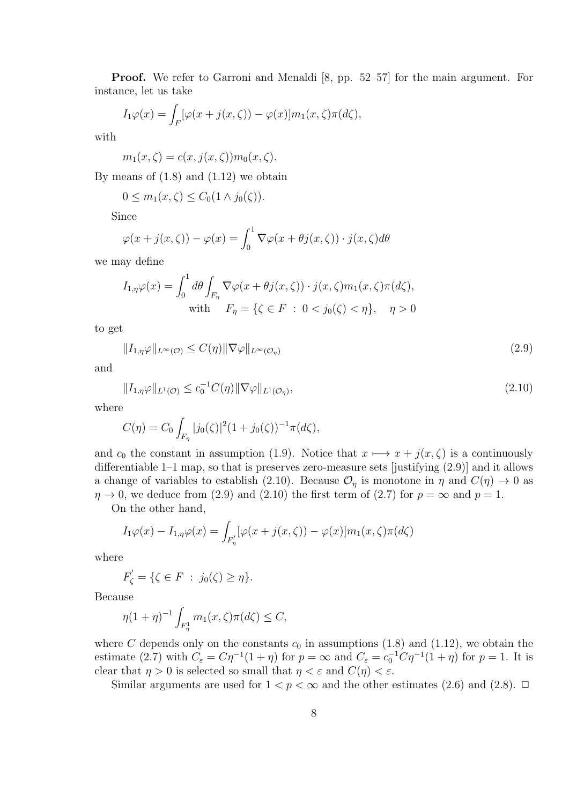**Proof.** We refer to Garroni and Menaldi [8, pp. 52–57] for the main argument. For instance, let us take

$$
I_1\varphi(x) = \int_F [\varphi(x+j(x,\zeta)) - \varphi(x)]m_1(x,\zeta)\pi(d\zeta),
$$

with

 $m_1(x,\zeta) = c(x, j(x,\zeta))m_0(x,\zeta).$ 

By means of  $(1.8)$  and  $(1.12)$  we obtain

$$
0 \le m_1(x,\zeta) \le C_0(1 \wedge j_0(\zeta)).
$$

Since

$$
\varphi(x+j(x,\zeta)) - \varphi(x) = \int_0^1 \nabla \varphi(x+\theta j(x,\zeta)) \cdot j(x,\zeta) d\theta
$$

we may define

$$
I_{1,\eta}\varphi(x) = \int_0^1 d\theta \int_{F_\eta} \nabla \varphi(x + \theta j(x,\zeta)) \cdot j(x,\zeta) m_1(x,\zeta) \pi(d\zeta),
$$
  
with 
$$
F_\eta = \{\zeta \in F \; : \; 0 < j_0(\zeta) < \eta\}, \quad \eta > 0
$$

to get

$$
||I_{1,\eta}\varphi||_{L^{\infty}(\mathcal{O})} \leq C(\eta)||\nabla\varphi||_{L^{\infty}(\mathcal{O}_{\eta})}
$$
\n(2.9)

and

$$
||I_{1,\eta}\varphi||_{L^{1}(\mathcal{O})} \leq c_0^{-1}C(\eta)||\nabla\varphi||_{L^{1}(\mathcal{O}_{\eta})},\tag{2.10}
$$

where

$$
C(\eta) = C_0 \int_{F_\eta} |j_0(\zeta)|^2 (1 + j_0(\zeta))^{-1} \pi(d\zeta),
$$

and  $c_0$  the constant in assumption (1.9). Notice that  $x \mapsto x + j(x, \zeta)$  is a continuously differentiable 1–1 map, so that is preserves zero-measure sets [justifying (2.9)] and it allows a change of variables to establish (2.10). Because  $\mathcal{O}_\eta$  is monotone in  $\eta$  and  $C(\eta) \to 0$  as  $\eta \rightarrow 0$ , we deduce from (2.9) and (2.10) the first term of (2.7) for  $p = \infty$  and  $p = 1$ .

On the other hand,

$$
I_1\varphi(x) - I_{1,\eta}\varphi(x) = \int_{F'_\eta} [\varphi(x + j(x,\zeta)) - \varphi(x)]m_1(x,\zeta)\pi(d\zeta)
$$

where

$$
F'_{\zeta} = \{ \zeta \in F \; : \; j_0(\zeta) \ge \eta \}.
$$

Because

$$
\eta(1+\eta)^{-1} \int_{F_{\eta}^1} m_1(x,\zeta) \pi(d\zeta) \le C,
$$

where *C* depends only on the constants  $c_0$  in assumptions (1.8) and (1.12), we obtain the estimate (2.7) with  $C_{\varepsilon} = C\eta^{-1}(1+\eta)$  for  $p = \infty$  and  $C_{\varepsilon} = c_0^{-1}C\eta^{-1}(1+\eta)$  for  $p = 1$ . It is clear that  $\eta > 0$  is selected so small that  $\eta < \varepsilon$  and  $C(\eta) < \varepsilon$ .

Similar arguments are used for  $1 < p < \infty$  and the other estimates (2.6) and (2.8).  $\Box$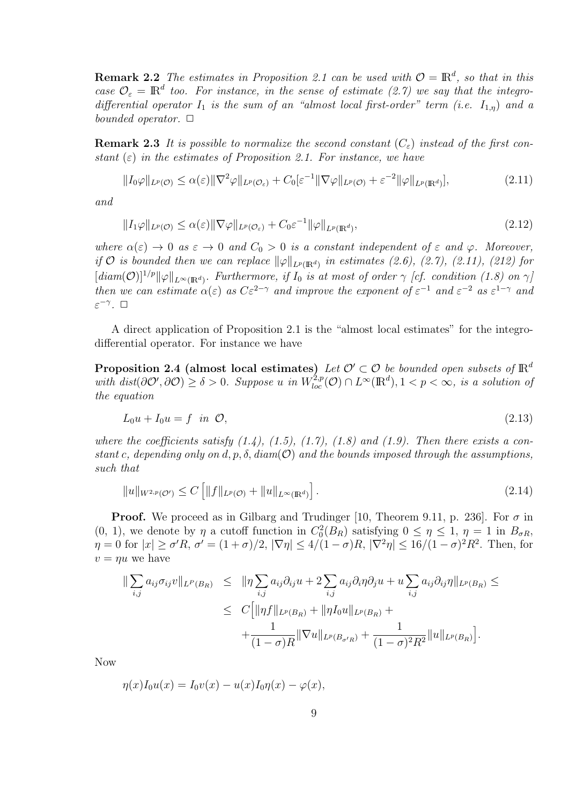**Remark 2.2** *The estimates in Proposition 2.1 can be used with*  $\mathcal{O} = \mathbb{R}^d$ , so that in this *case*  $\mathcal{O}_{\varepsilon} = \mathbb{R}^d$  too. For instance, in the sense of estimate (2.7) we say that the integro*differential operator I*<sup>1</sup> *is the sum of an "almost local first-order" term (i.e. I*1*,η*) *and a bounded operator.*  $\Box$ 

**Remark 2.3** It is possible to normalize the second constant  $(C_{\varepsilon})$  instead of the first con*stant*  $(\varepsilon)$  *in the estimates of Proposition 2.1. For instance, we have* 

$$
||I_0\varphi||_{L^p(\mathcal{O})} \leq \alpha(\varepsilon) ||\nabla^2 \varphi||_{L^p(\mathcal{O}_{\varepsilon})} + C_0[\varepsilon^{-1} ||\nabla \varphi||_{L^p(\mathcal{O})} + \varepsilon^{-2} ||\varphi||_{L^p(\mathbb{R}^d)}],
$$
\n(2.11)

*and*

$$
||I_1\varphi||_{L^p(\mathcal{O})} \leq \alpha(\varepsilon) ||\nabla \varphi||_{L^p(\mathcal{O}_{\varepsilon})} + C_0 \varepsilon^{-1} ||\varphi||_{L^p(\mathbb{R}^d)},
$$
\n(2.12)

*where*  $\alpha(\varepsilon) \to 0$  *as*  $\varepsilon \to 0$  *and*  $C_0 > 0$  *is a constant independent of*  $\varepsilon$  *and*  $\varphi$ *. Moreover, if*  $O$  *is bounded then we can replace*  $\|\varphi\|_{L^p(\mathbb{R}^d)}$  *in estimates (2.6), (2.7), (2.11), (212) for*  $[\text{diam}(\mathcal{O})]^{1/p}$  $\|\varphi\|_{L^{\infty}(\mathbb{R}^d)}$ . Furthermore, if  $I_0$  is at most of order  $\gamma$  [cf. condition (1.8) on  $\gamma$ ] *then we can estimate*  $\alpha(\varepsilon)$  *as*  $C\varepsilon^{2-\gamma}$  *and improve the exponent* of  $\varepsilon^{-1}$  *and*  $\varepsilon^{-2}$  *as*  $\varepsilon^{1-\gamma}$  *and ε −γ . ✷*

A direct application of Proposition 2.1 is the "almost local estimates" for the integrodifferential operator. For instance we have

**Proposition 2.4 (almost local estimates)** *Let*  $\mathcal{O}' \subset \mathcal{O}$  *be bounded open subsets of*  $\mathbb{R}^d$ with  $dist(\partial O', \partial O) \ge \delta > 0$ . Suppose u in  $W_{loc}^{2,p}(\mathcal{O}) \cap L^{\infty}(\mathbb{R}^d), 1 < p < \infty$ , is a solution of *the equation*

$$
L_0 u + I_0 u = f \quad in \quad \mathcal{O}, \tag{2.13}
$$

where the coefficients satisfy  $(1.4)$ ,  $(1.5)$ ,  $(1.7)$ ,  $(1.8)$  and  $(1.9)$ . Then there exists a con*stant c, depending only on d, p, δ, diam*(*O*) *and the bounds imposed through the assumptions, such that*

$$
||u||_{W^{2,p}(\mathcal{O}')} \leq C \left[ ||f||_{L^p(\mathcal{O})} + ||u||_{L^{\infty}(\mathbb{R}^d)} \right].
$$
\n(2.14)

**Proof.** We proceed as in Gilbarg and Trudinger [10, Theorem 9.11, p. 236]. For  $\sigma$  in (0, 1), we denote by  $\eta$  a cutoff function in  $C_0^2(B_R)$  satisfying  $0 \leq \eta \leq 1$ ,  $\eta = 1$  in  $B_{\sigma R}$ ,  $\eta = 0$  for  $|x| \ge \sigma'R$ ,  $\sigma' = (1 + \sigma)/2$ ,  $|\nabla \eta| \le 4/(1 - \sigma)R$ ,  $|\nabla^2 \eta| \le 16/(1 - \sigma)^2 R^2$ . Then, for  $v = \eta u$  we have

$$
\| \sum_{i,j} a_{ij} \sigma_{ij} v \|_{L^p(B_R)} \leq \| \eta \sum_{i,j} a_{ij} \partial_{ij} u + 2 \sum_{i,j} a_{ij} \partial_i \eta \partial_j u + u \sum_{i,j} a_{ij} \partial_{ij} \eta \|_{L^p(B_R)} \leq
$$
  

$$
\leq C \Big[ \| \eta f \|_{L^p(B_R)} + \| \eta I_0 u \|_{L^p(B_R)} + \frac{1}{(1-\sigma)R} \| \nabla u \|_{L^p(B_{\sigma'R})} + \frac{1}{(1-\sigma)^2 R^2} \| u \|_{L^p(B_R)} \Big].
$$

Now

$$
\eta(x)I_0 u(x) = I_0 v(x) - u(x)I_0 \eta(x) - \varphi(x),
$$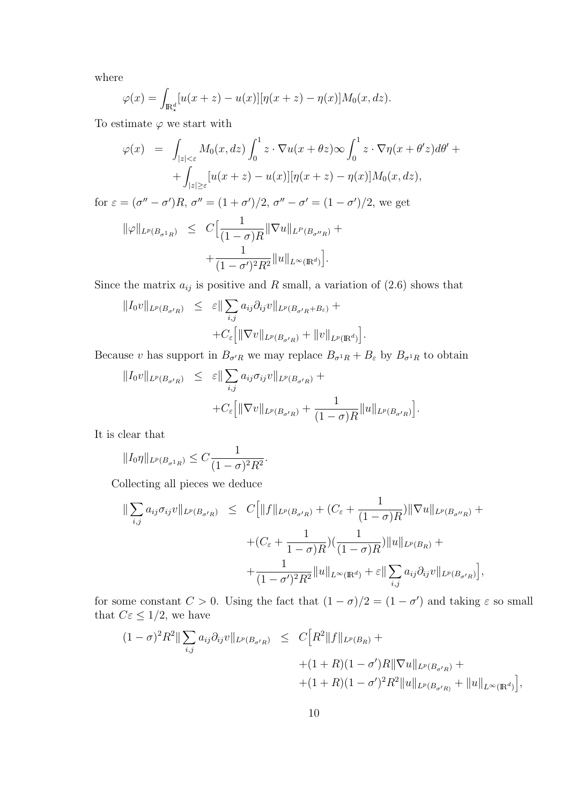where

$$
\varphi(x) = \int_{\mathbb{R}^d_*} [u(x+z) - u(x)][\eta(x+z) - \eta(x)]M_0(x,dz).
$$

To estimate  $\varphi$  we start with

$$
\varphi(x) = \int_{|z| < \varepsilon} M_0(x, dz) \int_0^1 z \cdot \nabla u(x + \theta z) \infty \int_0^1 z \cdot \nabla \eta(x + \theta' z) d\theta' +
$$
  
+ 
$$
\int_{|z| \ge \varepsilon} [u(x + z) - u(x)][\eta(x + z) - \eta(x)] M_0(x, dz),
$$

for  $\varepsilon = (\sigma'' - \sigma')R$ ,  $\sigma'' = (1 + \sigma')/2$ ,  $\sigma'' - \sigma' = (1 - \sigma')/2$ , we get  $\|\varphi\|_{L^p(B_{\sigma^1 R})} \leq C\Big[\frac{1}{(1-\varepsilon)^{1/p}}\Big]$  $\frac{1}{(1-\sigma)R} \|\nabla u\|_{L^P(B_{\sigma''R})} +$  $+$ 1  $\frac{1}{(1-\sigma')^2R^2}||u||_{L^{\infty}(\mathbb{R}^d)}$ ] *.*

Since the matrix  $a_{ij}$  is positive and *R* small, a variation of (2.6) shows that

$$
||I_0v||_{L^p(B_{\sigma'R})} \leq \varepsilon ||\sum_{i,j} a_{ij}\partial_{ij}v||_{L^p(B_{\sigma'R} + B_{\varepsilon})} +
$$
  
+
$$
C_{\varepsilon} [||\nabla v||_{L^p(B_{\sigma'R})} + ||v||_{L^p(\mathbb{R}^d)}]
$$

Because *v* has support in  $B_{\sigma'R}$  we may replace  $B_{\sigma^1R} + B_{\varepsilon}$  by  $B_{\sigma^1R}$  to obtain

*.*

$$
||I_0v||_{L^p(B_{\sigma'R})} \leq \varepsilon ||\sum_{i,j} a_{ij}\sigma_{ij}v||_{L^p(B_{\sigma'R})} ++C_{\varepsilon} [||\nabla v||_{L^p(B_{\sigma'R})} + \frac{1}{(1-\sigma)R} ||u||_{L^p(B_{\sigma'R})}].
$$

It is clear that

$$
||I_0\eta||_{L^p(B_{\sigma^1 R})} \leq C \frac{1}{(1-\sigma)^2 R^2}.
$$

Collecting all pieces we deduce

$$
\| \sum_{i,j} a_{ij} \sigma_{ij} v \|_{L^p(B_{\sigma'R})} \leq C \Big[ \| f \|_{L^p(B_{\sigma'R})} + (C_{\varepsilon} + \frac{1}{(1-\sigma)R}) \| \nabla u \|_{L^p(B_{\sigma''R})} + (C_{\varepsilon} + \frac{1}{1-\sigma)R}) (\frac{1}{(1-\sigma)R}) \| u \|_{L^p(B_R)} +
$$
  

$$
+ \frac{1}{(1-\sigma')^2 R^2} \| u \|_{L^{\infty}(\mathbb{R}^d)} + \varepsilon \| \sum_{i,j} a_{ij} \partial_{ij} v \|_{L^p(B_{\sigma'R})} \Big],
$$

for some constant  $C > 0$ . Using the fact that  $(1 - \sigma)/2 = (1 - \sigma')$  and taking  $\varepsilon$  so small that  $C\varepsilon \leq 1/2$ , we have

$$
(1 - \sigma)^2 R^2 \|\sum_{i,j} a_{ij} \partial_{ij} v \|_{L^p(B_{\sigma'R})} \leq C \Big[R^2 \|f\|_{L^p(B_R)} +
$$
  
 
$$
+ (1 + R)(1 - \sigma')R \|\nabla u\|_{L^p(B_{\sigma'R})} +
$$
  
 
$$
+ (1 + R)(1 - \sigma')^2 R^2 \|u\|_{L^p(B_{\sigma'R})} + \|u\|_{L^{\infty}(\mathbb{R}^d)} \Big],
$$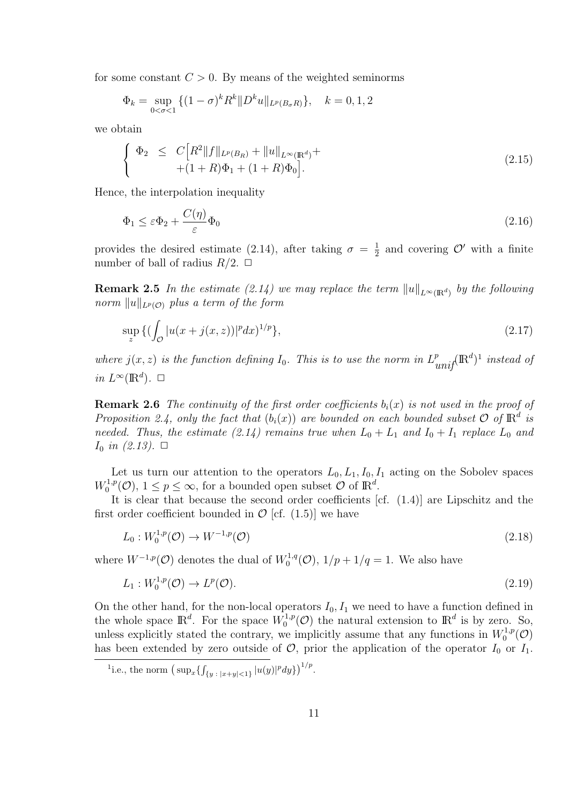for some constant  $C > 0$ . By means of the weighted seminorms

$$
\Phi_k = \sup_{0 < \sigma < 1} \{ (1 - \sigma)^k R^k \| D^k u \|_{L^p(B_\sigma R)} \}, \quad k = 0, 1, 2
$$

we obtain

$$
\begin{cases} \n\Phi_2 \leq C \Big[ R^2 \| f \|_{L^p(B_R)} + \| u \|_{L^\infty(\mathbb{R}^d)} + \\ \n+ (1+R)\Phi_1 + (1+R)\Phi_0 \Big]. \n\end{cases} \tag{2.15}
$$

Hence, the interpolation inequality

$$
\Phi_1 \le \varepsilon \Phi_2 + \frac{C(\eta)}{\varepsilon} \Phi_0 \tag{2.16}
$$

provides the desired estimate (2.14), after taking  $\sigma = \frac{1}{2}$  $\frac{1}{2}$  and covering  $\mathcal{O}'$  with a finite number of ball of radius  $R/2$ .  $\Box$ 

**Remark 2.5** *In the estimate* (2.14) we may replace the term  $||u||_{L^{\infty}(\mathbb{R}^d)}$  by the following *norm*  $||u||_{L^p(\mathcal{O})}$  *plus a term of the form* 

$$
\sup_{z} \left\{ (\int_{\mathcal{O}} |u(x + j(x, z))|^{p} dx \right\}^{1/p} \right\},\tag{2.17}
$$

*where*  $j(x, z)$  *is the function defining*  $I_0$ *. This is to use the norm in*  $L^p_{unif}(\mathbb{R}^d)^1$  *instead of in*  $L^\infty(\mathbb{R}^d)$ .  $\Box$ 

**Remark 2.6** *The continuity of the first order coefficients*  $b_i(x)$  *is not used in the proof of Proposition 2.4, only the fact that*  $(b_i(x))$  *are bounded on each bounded subset*  $\mathcal{O}$  *of*  $\mathbb{R}^d$  *is needed.* Thus, the estimate (2.14) remains true when  $L_0 + L_1$  and  $I_0 + I_1$  replace  $L_0$  and  $I_0$  *in (2.13)*.  $\Box$ 

Let us turn our attention to the operators  $L_0, L_1, I_0, I_1$  acting on the Sobolev spaces  $W_0^{1,p}$  $\mathcal{O}_0^{1,p}(\mathcal{O}), 1 \leq p \leq \infty$ , for a bounded open subset  $\mathcal{O}$  of  $\mathbb{R}^d$ .

It is clear that because the second order coefficients [cf. (1.4)] are Lipschitz and the first order coefficient bounded in  $\mathcal{O}$  [cf. (1.5)] we have

$$
L_0: W_0^{1,p}(\mathcal{O}) \to W^{-1,p}(\mathcal{O})
$$
\n(2.18)

where  $W^{-1,p}(\mathcal{O})$  denotes the dual of  $W_0^{1,q}$  $C_0^{1,q}(\mathcal{O}), 1/p + 1/q = 1.$  We also have

$$
L_1: W_0^{1,p}(\mathcal{O}) \to L^p(\mathcal{O}).\tag{2.19}
$$

On the other hand, for the non-local operators  $I_0, I_1$  we need to have a function defined in the whole space  $\mathbb{R}^d$ . For the space  $W_0^{1,p}$  $\mathbb{R}^{d}$  is by zero. So, unless explicitly stated the contrary, we implicitly assume that any functions in  $W_0^{1,p}$  $\iota_0^{1,p}(\mathcal{O})$ has been extended by zero outside of  $\mathcal{O}$ , prior the application of the operator  $I_0$  or  $I_1$ .

<sup>&</sup>lt;sup>1</sup>.e., the norm  $(\sup_x \{ \int_{\{y : |x+y|<1\}} |u(y)|^p dy \} )^{1/p}$ .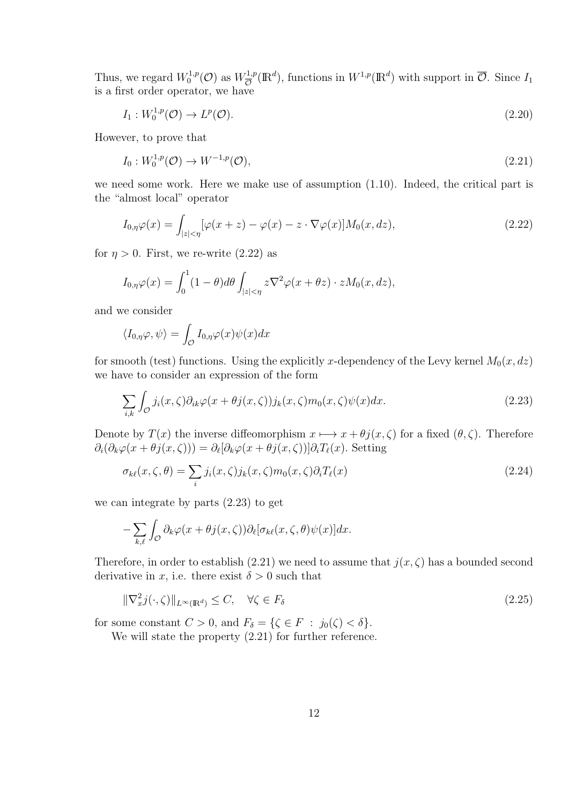Thus, we regard  $W_0^{1,p}$  $W_0^{1,p}(\mathcal{O})$  as  $W_{\overline{\mathcal{O}}}^{1,p}$  $\overline{\mathcal{O}}$  (R<sup>d</sup>), functions in  $W^{1,p}(\mathbb{R}^d)$  with support in  $\overline{\mathcal{O}}$ . Since  $I_1$ is a first order operator, we have

$$
I_1: W_0^{1,p}(\mathcal{O}) \to L^p(\mathcal{O}).\tag{2.20}
$$

However, to prove that

$$
I_0: W_0^{1,p}(\mathcal{O}) \to W^{-1,p}(\mathcal{O}), \tag{2.21}
$$

we need some work. Here we make use of assumption (1.10). Indeed, the critical part is the "almost local" operator

$$
I_{0,\eta}\varphi(x) = \int_{|z|< \eta} [\varphi(x+z) - \varphi(x) - z \cdot \nabla \varphi(x)] M_0(x,dz), \tag{2.22}
$$

for  $\eta > 0$ . First, we re-write  $(2.22)$  as

$$
I_{0,\eta}\varphi(x) = \int_0^1 (1-\theta)d\theta \int_{|z|<\eta} z\nabla^2 \varphi(x+\theta z) \cdot zM_0(x,dz),
$$

and we consider

$$
\langle I_{0,\eta}\varphi,\psi\rangle = \int_{\mathcal{O}} I_{0,\eta}\varphi(x)\psi(x)dx
$$

for smooth (test) functions. Using the explicitly *x*-dependency of the Levy kernel  $M_0(x, dz)$ we have to consider an expression of the form

$$
\sum_{i,k} \int_{\mathcal{O}} j_i(x,\zeta) \partial_{ik}\varphi(x+\theta j(x,\zeta)) j_k(x,\zeta) m_0(x,\zeta) \psi(x) dx.
$$
 (2.23)

Denote by  $T(x)$  the inverse diffeomorphism  $x \mapsto x + \theta j(x, \zeta)$  for a fixed  $(\theta, \zeta)$ . Therefore  $\partial_i(\partial_k \varphi(x + \theta j(x, \zeta))) = \partial_\ell[\partial_k \varphi(x + \theta j(x, \zeta))] \partial_i T_\ell(x)$ . Setting

$$
\sigma_{k\ell}(x,\zeta,\theta) = \sum_{i} j_i(x,\zeta) j_k(x,\zeta) m_0(x,\zeta) \partial_i T_{\ell}(x)
$$
\n(2.24)

we can integrate by parts (2.23) to get

$$
-\sum_{k,\ell}\int_{\mathcal{O}}\partial_k\varphi(x+\theta j(x,\zeta))\partial_\ell[\sigma_{k\ell}(x,\zeta,\theta)\psi(x)]dx.
$$

Therefore, in order to establish (2.21) we need to assume that  $j(x, \zeta)$  has a bounded second derivative in *x*, i.e. there exist  $\delta > 0$  such that

$$
\|\nabla_x^2 j(\cdot,\zeta)\|_{L^\infty(\mathbb{R}^d)} \le C, \quad \forall \zeta \in F_\delta \tag{2.25}
$$

for some constant  $C > 0$ , and  $F_{\delta} = \{ \zeta \in F : j_0(\zeta) < \delta \}.$ 

We will state the property  $(2.21)$  for further reference.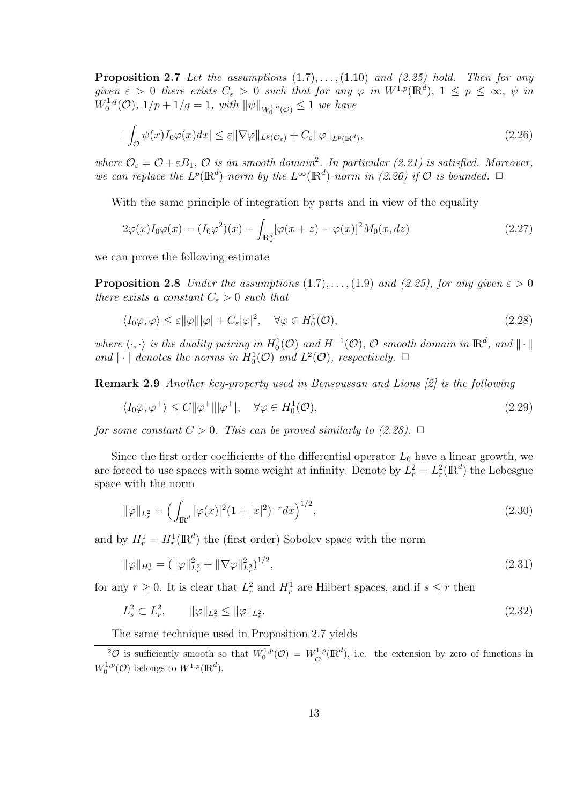**Proposition 2.7** *Let the assumptions* (1*.*7)*, . . . ,*(1*.*10) *and (2.25) hold. Then for any given*  $\varepsilon > 0$  *there exists*  $C_{\varepsilon} > 0$  *such that for any*  $\varphi$  *in*  $W^{1,p}(\mathbb{R}^d)$ ,  $1 \leq p \leq \infty$ ,  $\psi$  *in*  $W_0^{1,q}$  $\int_0^{1,q}$  (O),  $1/p + 1/q = 1$ , with  $||\psi||_{W_0^{1,q}(\mathcal{O})} \leq 1$  we have

$$
|\int_{\mathcal{O}} \psi(x) I_0 \varphi(x) dx| \leq \varepsilon ||\nabla \varphi||_{L^p(\mathcal{O}_{\varepsilon})} + C_{\varepsilon} ||\varphi||_{L^p(\mathbb{R}^d)},
$$
\n(2.26)

where  $\mathcal{O}_{\varepsilon} = \mathcal{O} + \varepsilon B_1$ ,  $\mathcal{O}$  *is an smooth domain*<sup>2</sup>. In particular (2.21) is satisfied. Moreover, *we can replace the*  $L^p(\mathbb{R}^d)$ *-norm by the*  $L^{\infty}(\mathbb{R}^d)$ *-norm in* (2.26) if  $\mathcal O$  *is bounded.*  $\Box$ 

With the same principle of integration by parts and in view of the equality

$$
2\varphi(x)I_0\varphi(x) = (I_0\varphi^2)(x) - \int_{\mathbb{R}^d_*} [\varphi(x+z) - \varphi(x)]^2 M_0(x, dz)
$$
\n(2.27)

we can prove the following estimate

**Proposition 2.8** *Under the assumptions*  $(1.7), \ldots, (1.9)$  *and*  $(2.25)$ *, for any given*  $\varepsilon > 0$ *there exists a constant*  $C_{\varepsilon} > 0$  *such that* 

$$
\langle I_0 \varphi, \varphi \rangle \le \varepsilon ||\varphi|| |\varphi| + C_{\varepsilon} |\varphi|^2, \quad \forall \varphi \in H_0^1(\mathcal{O}), \tag{2.28}
$$

*where*  $\langle \cdot, \cdot \rangle$  *is the duality pairing in*  $H_0^1(\mathcal{O})$  *and*  $H^{-1}(\mathcal{O})$ *,*  $\mathcal{O}$  *smooth domain in*  $\mathbb{R}^d$ *, and*  $\|\cdot\|$ *and*  $|\cdot|$  *denotes the norms in*  $H_0^1(\mathcal{O})$  *and*  $L^2(\mathcal{O})$ *, respectively.*  $\Box$ 

**Remark 2.9** *Another key-property used in Bensoussan and Lions [2] is the following*

$$
\langle I_0 \varphi, \varphi^+ \rangle \le C \| \varphi^+ \| |\varphi^+|, \quad \forall \varphi \in H_0^1(\mathcal{O}), \tag{2.29}
$$

*for some constant*  $C > 0$ *. This can be proved similarly to (2.28).*  $\Box$ 

Since the first order coefficients of the differential operator  $L_0$  have a linear growth, we are forced to use spaces with some weight at infinity. Denote by  $L_r^2 = L_r^2(\mathbb{R}^d)$  the Lebesgue space with the norm

$$
\|\varphi\|_{L^2_r} = \left(\int_{\mathbb{R}^d} |\varphi(x)|^2 (1+|x|^2)^{-r} dx\right)^{1/2},\tag{2.30}
$$

and by  $H_r^1 = H_r^1(\mathbb{R}^d)$  the (first order) Sobolev space with the norm

$$
\|\varphi\|_{H^1_r} = (\|\varphi\|_{L^2_r}^2 + \|\nabla\varphi\|_{L^2_r}^2)^{1/2},\tag{2.31}
$$

for any  $r \geq 0$ . It is clear that  $L_r^2$  and  $H_r^1$  are Hilbert spaces, and if  $s \leq r$  then

$$
L_s^2 \subset L_r^2, \qquad \|\varphi\|_{L_r^2} \le \|\varphi\|_{L_s^2}.\tag{2.32}
$$

The same technique used in Proposition 2.7 yields

 $^2\mathcal{O}$  is sufficiently smooth so that  $W_0^{1,p}(\mathcal{O}) = W_{\overline{\mathcal{O}}}^{1,p}$  $\frac{d^{1,p}}{\mathcal{O}}(\mathbb{R}^d)$ , i.e. the extension by zero of functions in  $W_0^{1,p}(\mathcal{O})$  belongs to  $W^{1,p}(\mathbb{R}^d)$ .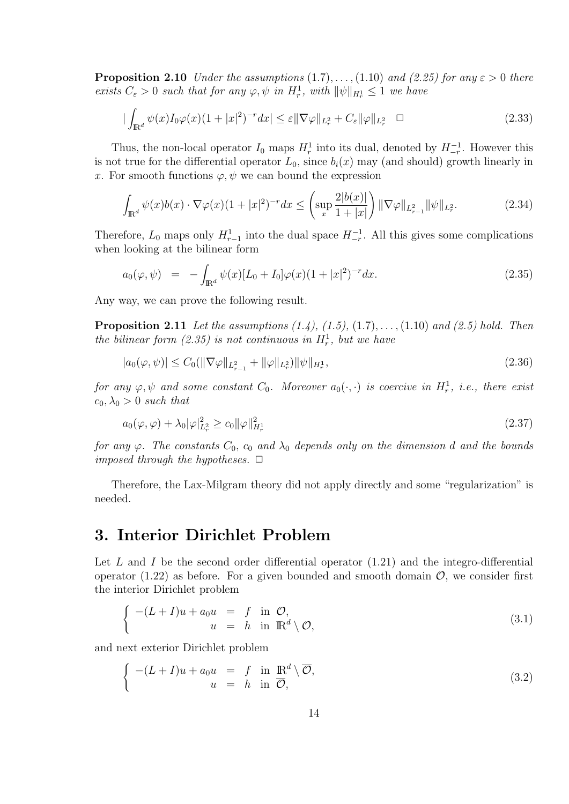**Proposition 2.10** *Under the assumptions*  $(1.7), \ldots, (1.10)$  *and*  $(2.25)$  *for any*  $\varepsilon > 0$  *there exists*  $C_{\varepsilon} > 0$  *such that for any*  $\varphi, \psi$  *in*  $H_r^1$ *, with*  $\|\psi\|_{H_r^1} \leq 1$  *we have* 

$$
|\int_{\mathbb{R}^d} \psi(x) I_0 \varphi(x) (1+|x|^2)^{-r} dx| \leq \varepsilon ||\nabla \varphi||_{L^2_r} + C_{\varepsilon} ||\varphi||_{L^2_r} \quad \Box
$$
\n(2.33)

Thus, the non-local operator  $I_0$  maps  $H_r^1$  into its dual, denoted by  $H_{-r}^{-1}$ . However this is not true for the differential operator  $L_0$ , since  $b_i(x)$  may (and should) growth linearly in *x*. For smooth functions  $\varphi, \psi$  we can bound the expression

$$
\int_{\mathbb{R}^d} \psi(x) b(x) \cdot \nabla \varphi(x) (1+|x|^2)^{-r} dx \le \left( \sup_x \frac{2|b(x)|}{1+|x|} \right) \|\nabla \varphi\|_{L^2_{r-1}} \|\psi\|_{L^2_r}.
$$
\n(2.34)

Therefore,  $L_0$  maps only  $H_{r-1}^1$  into the dual space  $H_{-r}^{-1}$ . All this gives some complications when looking at the bilinear form

$$
a_0(\varphi, \psi) = -\int_{\mathbb{R}^d} \psi(x) [L_0 + I_0] \varphi(x) (1 + |x|^2)^{-r} dx.
$$
 (2.35)

Any way, we can prove the following result.

**Proposition 2.11** *Let the assumptions (1.4), (1.5),* (1*.*7)*, . . . ,*(1*.*10) *and (2.5) hold. Then the bilinear form*  $(2.35)$  *is not continuous in*  $H_r^1$ , but we have

$$
|a_0(\varphi, \psi)| \le C_0(||\nabla \varphi||_{L_{r-1}^2} + ||\varphi||_{L_r^2}) ||\psi||_{H_r^1},
$$
\n(2.36)

*for any*  $\varphi, \psi$  *and some constant*  $C_0$ *. Moreover*  $a_0(\cdot, \cdot)$  *is coercive in*  $H_r^1$ *, i.e., there exist*  $c_0, \lambda_0 > 0$  *such that* 

$$
a_0(\varphi, \varphi) + \lambda_0 |\varphi|_{L^2_r}^2 \ge c_0 \|\varphi\|_{H^1_r}^2 \tag{2.37}
$$

*for any*  $\varphi$ *. The constants*  $C_0$ *,*  $c_0$  *and*  $\lambda_0$  *depends only on the dimension d and the bounds imposed through the hypotheses.*  $\Box$ 

Therefore, the Lax-Milgram theory did not apply directly and some "regularization" is needed.

### **3. Interior Dirichlet Problem**

Let L and I be the second order differential operator  $(1.21)$  and the integro-differential operator  $(1.22)$  as before. For a given bounded and smooth domain  $\mathcal{O}$ , we consider first the interior Dirichlet problem

$$
\begin{cases}\n-(L+I)u + a_0 u &= f \text{ in } \mathcal{O}, \\
u &= h \text{ in } \mathbb{R}^d \setminus \mathcal{O},\n\end{cases}
$$
\n(3.1)

and next exterior Dirichlet problem

$$
\begin{cases}\n-(L+I)u + a_0 u &= f \text{ in } \mathbb{R}^d \setminus \overline{\mathcal{O}}, \\
u &= h \text{ in } \overline{\mathcal{O}},\n\end{cases}
$$
\n(3.2)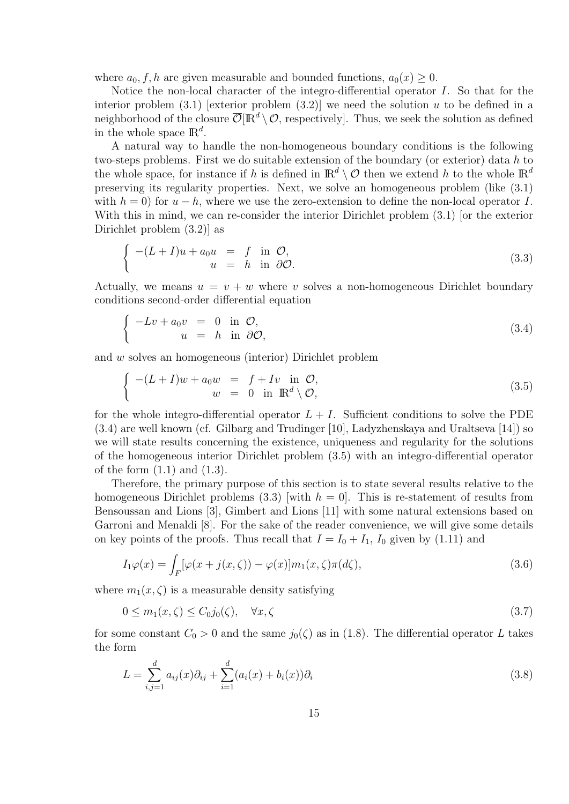where  $a_0, f, h$  are given measurable and bounded functions,  $a_0(x) \geq 0$ .

Notice the non-local character of the integro-differential operator *I*. So that for the interior problem  $(3.1)$  [exterior problem  $(3.2)$ ] we need the solution  $u$  to be defined in a neighborhood of the closure  $\overline{\mathcal{O}}[\mathbb{R}^d \setminus \mathcal{O}]$ , respectively. Thus, we seek the solution as defined in the whole space  $\mathbb{R}^d$ .

A natural way to handle the non-homogeneous boundary conditions is the following two-steps problems. First we do suitable extension of the boundary (or exterior) data *h* to the whole space, for instance if *h* is defined in  $\mathbb{R}^d \setminus \mathcal{O}$  then we extend *h* to the whole  $\mathbb{R}^d$ preserving its regularity properties. Next, we solve an homogeneous problem (like (3.1) with  $h = 0$ ) for  $u - h$ , where we use the zero-extension to define the non-local operator *I*. With this in mind, we can re-consider the interior Dirichlet problem (3.1) [or the exterior Dirichlet problem (3.2)] as

$$
\begin{cases}\n-(L+I)u + a_0 u &= f \text{ in } \mathcal{O}, \\
u &= h \text{ in } \partial \mathcal{O}.\n\end{cases}
$$
\n(3.3)

Actually, we means  $u = v + w$  where *v* solves a non-homogeneous Dirichlet boundary conditions second-order differential equation

$$
\begin{cases}\n-Lv + a_0 v &= 0 \text{ in } \mathcal{O}, \\
u &= h \text{ in } \partial \mathcal{O},\n\end{cases}
$$
\n(3.4)

and *w* solves an homogeneous (interior) Dirichlet problem

$$
\begin{cases}\n-(L+I)w + a_0 w &= f + Iv \text{ in } \mathcal{O}, \\
w &= 0 \text{ in } \mathbb{R}^d \setminus \mathcal{O},\n\end{cases}
$$
\n(3.5)

for the whole integro-differential operator  $L + I$ . Sufficient conditions to solve the PDE (3.4) are well known (cf. Gilbarg and Trudinger [10], Ladyzhenskaya and Uraltseva [14]) so we will state results concerning the existence, uniqueness and regularity for the solutions of the homogeneous interior Dirichlet problem (3.5) with an integro-differential operator of the form  $(1.1)$  and  $(1.3)$ .

Therefore, the primary purpose of this section is to state several results relative to the homogeneous Dirichlet problems  $(3.3)$  [with  $h = 0$ ]. This is re-statement of results from Bensoussan and Lions [3], Gimbert and Lions [11] with some natural extensions based on Garroni and Menaldi [8]. For the sake of the reader convenience, we will give some details on key points of the proofs. Thus recall that  $I = I_0 + I_1$ ,  $I_0$  given by (1.11) and

$$
I_1\varphi(x) = \int_F [\varphi(x+j(x,\zeta)) - \varphi(x)]m_1(x,\zeta)\pi(d\zeta),\tag{3.6}
$$

where  $m_1(x,\zeta)$  is a measurable density satisfying

$$
0 \le m_1(x,\zeta) \le C_0 j_0(\zeta), \quad \forall x,\zeta \tag{3.7}
$$

for some constant  $C_0 > 0$  and the same  $j_0(\zeta)$  as in (1.8). The differential operator L takes the form

$$
L = \sum_{i,j=1}^{d} a_{ij}(x)\partial_{ij} + \sum_{i=1}^{d} (a_i(x) + b_i(x))\partial_i
$$
\n(3.8)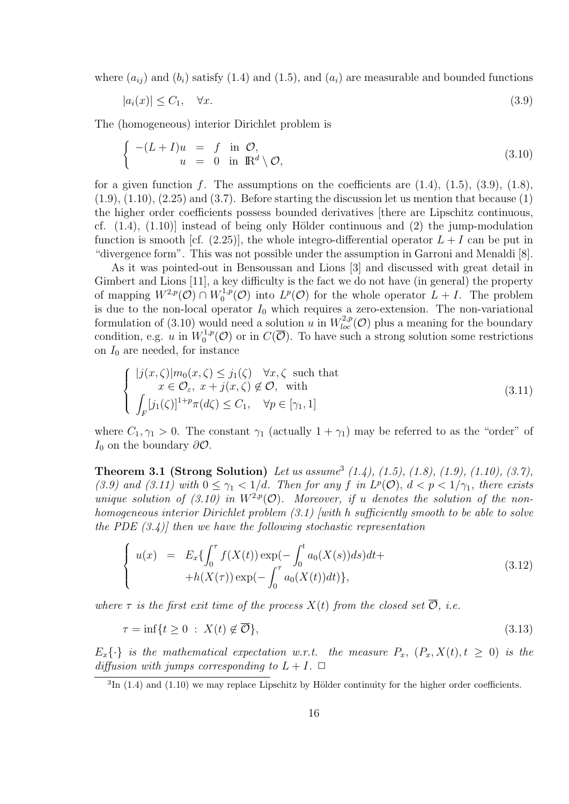where  $(a_{ij})$  and  $(b_i)$  satisfy (1.4) and (1.5), and  $(a_i)$  are measurable and bounded functions

$$
|a_i(x)| \le C_1, \quad \forall x. \tag{3.9}
$$

The (homogeneous) interior Dirichlet problem is

$$
\begin{cases}\n-(L+I)u &= f \text{ in } \mathcal{O}, \\
u &= 0 \text{ in } \mathbb{R}^d \setminus \mathcal{O},\n\end{cases}
$$
\n(3.10)

for a given function  $f$ . The assumptions on the coefficients are  $(1.4)$ ,  $(1.5)$ ,  $(3.9)$ ,  $(1.8)$ ,  $(1.9)$ ,  $(1.10)$ ,  $(2.25)$  and  $(3.7)$ . Before starting the discussion let us mention that because  $(1)$ the higher order coefficients possess bounded derivatives [there are Lipschitz continuous, cf.  $(1.4)$ ,  $(1.10)$ ] instead of being only Hölder continuous and  $(2)$  the jump-modulation function is smooth [cf.  $(2.25)$ ], the whole integro-differential operator  $L + I$  can be put in "divergence form". This was not possible under the assumption in Garroni and Menaldi [8].

As it was pointed-out in Bensoussan and Lions [3] and discussed with great detail in Gimbert and Lions [11], a key difficulty is the fact we do not have (in general) the property of mapping  $W^{2,p}(\mathcal{O}) \cap W_0^{1,p}$  $L^{1,p}(\mathcal{O})$  into  $L^p(\mathcal{O})$  for the whole operator  $L+I$ . The problem is due to the non-local operator  $I_0$  which requires a zero-extension. The non-variational formulation of (3.10) would need a solution *u* in  $W^{2,p}_{loc}(\mathcal{O})$  plus a meaning for the boundary condition, e.g. *u* in  $W_0^{1,p}$  $C_0^{1,p}(\mathcal{O})$  or in  $C(\overline{\mathcal{O}})$ . To have such a strong solution some restrictions on  $I_0$  are needed, for instance

$$
\begin{cases}\n|j(x,\zeta)|m_0(x,\zeta) \leq j_1(\zeta) & \forall x,\zeta \text{ such that} \\
x \in \mathcal{O}_{\varepsilon}, \ x + j(x,\zeta) \notin \mathcal{O}, \text{ with} \\
\int_F [j_1(\zeta)]^{1+p} \pi(d\zeta) \leq C_1, & \forall p \in [\gamma_1,1]\n\end{cases}
$$
\n(3.11)

where  $C_1, \gamma_1 > 0$ . The constant  $\gamma_1$  (actually  $1 + \gamma_1$ ) may be referred to as the "order" of *I*<sup>0</sup> on the boundary *∂O*.

**Theorem 3.1 (Strong Solution)** *Let us assume*<sup>3</sup> (1.4), (1.5), (1.8), (1.9), (1.10), (3.7), (3.9) and (3.11) with  $0 \leq \gamma_1 < 1/d$ . Then for any f in  $L^p(\mathcal{O})$ ,  $d < p < 1/\gamma_1$ , there exists *unique solution of (3.10) in*  $W^{2,p}(\mathcal{O})$ *. Moreover, if u denotes the solution of the nonhomogeneous interior Dirichlet problem (3.1) [with h sufficiently smooth to be able to solve the PDE (3.4)] then we have the following stochastic representation*

$$
\begin{cases}\nu(x) & = E_x \{ \int_0^{\tau} f(X(t)) \exp(-\int_0^t a_0(X(s)) ds) dt + \\
& + h(X(\tau)) \exp(-\int_0^{\tau} a_0(X(t)) dt) \},\n\end{cases} \tag{3.12}
$$

*where*  $\tau$  *is the first exit time of the process*  $X(t)$  *from the closed set*  $\overline{O}$ *, i.e.* 

$$
\tau = \inf\{t \ge 0 \; : \; X(t) \notin \overline{\mathcal{O}}\},\tag{3.13}
$$

 $E_x\{\cdot\}$  *is the mathematical expectation w.r.t. the measure*  $P_x$ *,*  $(P_x, X(t), t \ge 0)$  *is the diffusion with jumps corresponding to*  $L + I$ .  $\Box$ 

 ${}^{3}\text{In}$  (1.4) and (1.10) we may replace Lipschitz by Hölder continuity for the higher order coefficients.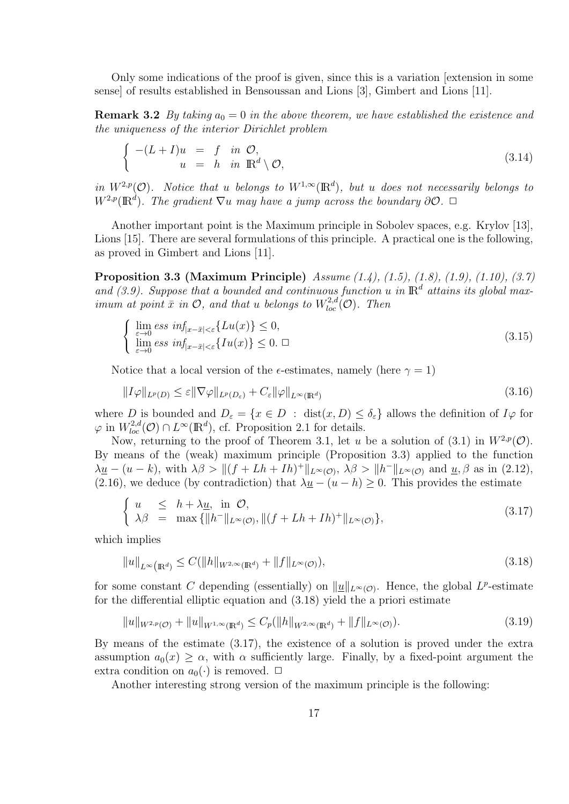Only some indications of the proof is given, since this is a variation [extension in some sense] of results established in Bensoussan and Lions [3], Gimbert and Lions [11].

**Remark 3.2** *By taking*  $a_0 = 0$  *in the above theorem, we have established the existence and the uniqueness of the interior Dirichlet problem*

$$
\begin{cases}\n-(L+I)u &= f \text{ in } \mathcal{O}, \\
u &= h \text{ in } \mathbb{R}^d \setminus \mathcal{O},\n\end{cases}
$$
\n(3.14)

*in*  $W^{2,p}(\mathcal{O})$ *. Notice that u belongs to*  $W^{1,\infty}(\mathbb{R}^d)$ *, but <i>u does not necessarily belongs to*  $W^{2,p}(\mathbb{R}^d)$ *. The gradient*  $\nabla u$  *may have a jump across the boundary*  $\partial \mathcal{O}$ *.*  $\Box$ 

Another important point is the Maximum principle in Sobolev spaces, e.g. Krylov [13], Lions [15]. There are several formulations of this principle. A practical one is the following, as proved in Gimbert and Lions [11].

**Proposition 3.3 (Maximum Principle)** *Assume (1.4), (1.5), (1.8), (1.9), (1.10), (3.7)* and  $(3.9)$ . Suppose that a bounded and continuous function *u* in  $\mathbb{R}^d$  attains its global max*imum at point*  $\bar{x}$  *in*  $\mathcal{O}$ *, and that u belongs to*  $W^{2,d}_{loc}(\mathcal{O})$ *. Then* 

$$
\begin{cases}\n\lim_{\varepsilon \to 0} \operatorname{ess} \inf_{|x - \bar{x}| < \varepsilon} \{ L u(x) \} \leq 0, \\
\lim_{\varepsilon \to 0} \operatorname{ess} \inf_{|x - \bar{x}| < \varepsilon} \{ I u(x) \} \leq 0. \quad \Box\n\end{cases} \tag{3.15}
$$

Notice that a local version of the  $\epsilon$ -estimates, namely (here  $\gamma = 1$ )

$$
||I\varphi||_{L^{p}(D)} \leq \varepsilon ||\nabla\varphi||_{L^{p}(D_{\varepsilon})} + C_{\varepsilon} ||\varphi||_{L^{\infty}(\mathbb{R}^{d})}
$$
\n(3.16)

where *D* is bounded and  $D_{\varepsilon} = \{x \in D : \text{dist}(x, D) \le \delta_{\varepsilon}\}\$ allows the definition of  $I\varphi$  for  $\varphi$  in  $W_{loc}^{2,d}(\mathcal{O}) \cap L^{\infty}(\mathbb{R}^d)$ , cf. Proposition 2.1 for details.

Now, returning to the proof of Theorem 3.1, let *u* be a solution of (3.1) in  $W^{2,p}(\mathcal{O})$ . By means of the (weak) maximum principle (Proposition 3.3) applied to the function  $\lambda \underline{u} - (u - k)$ , with  $\lambda \beta > ||(f + Lh + Ih)^{+}||_{L^{\infty}(\mathcal{O})}$ ,  $\lambda \beta > ||h^{-}||_{L^{\infty}(\mathcal{O})}$  and  $\underline{u}, \beta$  as in (2.12), (2.16), we deduce (by contradiction) that  $\lambda \underline{u} - (u - h) \geq 0$ . This provides the estimate

$$
\begin{cases}\n u & \leq h + \lambda \underline{u}, \text{ in } \mathcal{O}, \\
 \lambda \beta & = \max \{ \|h^-\|_{L^\infty(\mathcal{O})}, \|(f + Lh + Ih)^+\|_{L^\infty(\mathcal{O})} \},\n\end{cases}\n\tag{3.17}
$$

which implies

$$
||u||_{L^{\infty}(\mathbb{R}^d)} \le C(||h||_{W^{2,\infty}(\mathbb{R}^d)} + ||f||_{L^{\infty}(\mathcal{O})}),
$$
\n(3.18)

for some constant *C* depending (essentially) on  $||\underline{u}||_{L^{\infty}(\mathcal{O})}$ . Hence, the global *L*<sup>*p*</sup>-estimate for the differential elliptic equation and (3.18) yield the a priori estimate

$$
||u||_{W^{2,p}(\mathcal{O})} + ||u||_{W^{1,\infty}(\mathbb{R}^d)} \le C_p (||h||_{W^{2,\infty}(\mathbb{R}^d)} + ||f||_{L^{\infty}(\mathcal{O})}).
$$
\n(3.19)

By means of the estimate (3.17), the existence of a solution is proved under the extra assumption  $a_0(x) \geq \alpha$ , with  $\alpha$  sufficiently large. Finally, by a fixed-point argument the extra condition on  $a_0(\cdot)$  is removed.  $\Box$ 

Another interesting strong version of the maximum principle is the following: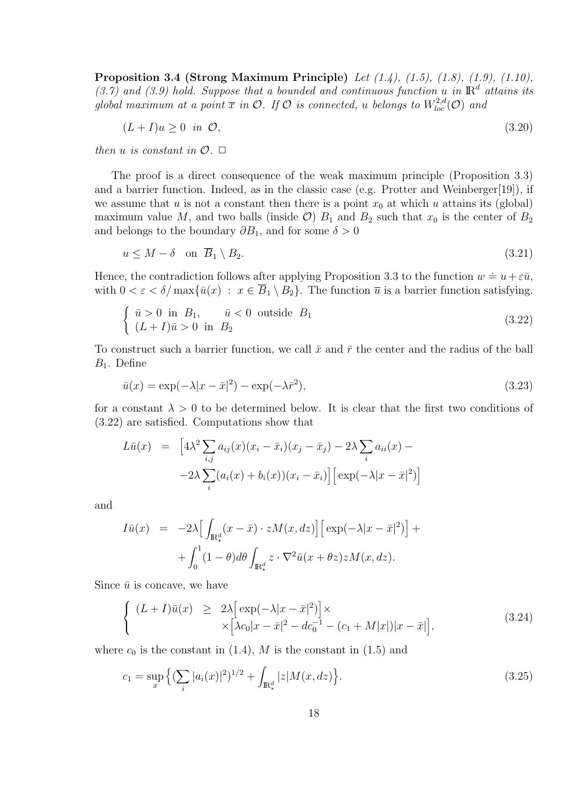**Proposition 3.4 (Strong Maximum Principle)** *Let (1.4), (1.5), (1.8), (1.9), (1.10),* (3.7) and (3.9) hold. Suppose that a bounded and continuous function *u* in  $\mathbb{R}^d$  attains its *global maximum at a point*  $\overline{x}$  *in*  $\mathcal{O}$ *. If*  $\mathcal{O}$  *is connected, u belongs to*  $W^{2,d}_{loc}(\mathcal{O})$  *and* 

$$
(L+I)u \ge 0 \quad \text{in} \quad \mathcal{O},\tag{3.20}
$$

*then u is constant in*  $\mathcal{O}$ .  $\Box$ 

The proof is a direct consequence of the weak maximum principle (Proposition 3.3) and a barrier function. Indeed, as in the classic case (e.g. Protter and Weinberger[19]), if we assume that *u* is not a constant then there is a point  $x_0$  at which *u* attains its (global) maximum value M, and two balls (inside  $\mathcal{O}$ )  $B_1$  and  $B_2$  such that  $x_0$  is the center of  $B_2$ and belongs to the boundary  $\partial B_1$ , and for some  $\delta > 0$ 

$$
u \le M - \delta \quad \text{on } \overline{B}_1 \setminus B_2. \tag{3.21}
$$

Hence, the contradiction follows after applying Proposition 3.3 to the function  $w \doteq u + \varepsilon \bar{u}$ , with  $0 < \varepsilon < \delta / \max{\{\bar{u}(x) : x \in \overline{B}_1 \setminus B_2\}}$ . The function  $\overline{u}$  is a barrier function satisfying.

$$
\begin{cases} \bar{u} > 0 \text{ in } B_1, \quad \bar{u} < 0 \text{ outside } B_1 \\ (L+I)\bar{u} > 0 \text{ in } B_2 \end{cases} \tag{3.22}
$$

To construct such a barrier function, we call  $\bar{x}$  and  $\bar{r}$  the center and the radius of the ball *B*1. Define

$$
\bar{u}(x) = \exp(-\lambda|x-\bar{x}|^2) - \exp(-\lambda\bar{r}^2),\tag{3.23}
$$

for a constant  $\lambda > 0$  to be determined below. It is clear that the first two conditions of (3.22) are satisfied. Computations show that

$$
L\bar{u}(x) = \left[4\lambda^2 \sum_{i,j} a_{ij}(x)(x_i - \bar{x}_i)(x_j - \bar{x}_j) - 2\lambda \sum_i a_{ii}(x) - 2\lambda \sum_i (a_i(x) + b_i(x))(x_i - \bar{x}_i)\right] \left[\exp(-\lambda|x - \bar{x}|^2)\right]
$$

and

$$
I\bar{u}(x) = -2\lambda \Big[ \int_{\mathbb{R}^d_*} (x - \bar{x}) \cdot zM(x, dz) \Big] \Big[ \exp(-\lambda |x - \bar{x}|^2) \Big] +
$$
  
+ 
$$
\int_0^1 (1 - \theta) d\theta \int_{\mathbb{R}^d_*} z \cdot \nabla^2 \bar{u}(x + \theta z) zM(x, dz).
$$

Since  $\bar{u}$  is concave, we have

$$
\begin{cases}\n(L+I)\bar{u}(x) & \geq 2\lambda \left[ \exp(-\lambda|x-\bar{x}|^2) \right] \times \\
& \times \left[ \lambda c_0|x-\bar{x}|^2 - dc_0^{-1} - (c_1 + M|x|)|x-\bar{x}| \right],\n\end{cases} \tag{3.24}
$$

where  $c_0$  is the constant in  $(1.4)$ ,  $M$  is the constant in  $(1.5)$  and

$$
c_1 = \sup_x \left\{ \left( \sum_i |a_i(x)|^2 \right)^{1/2} + \int_{\mathbb{R}^d_*} |z| M(x, dz) \right\}.
$$
 (3.25)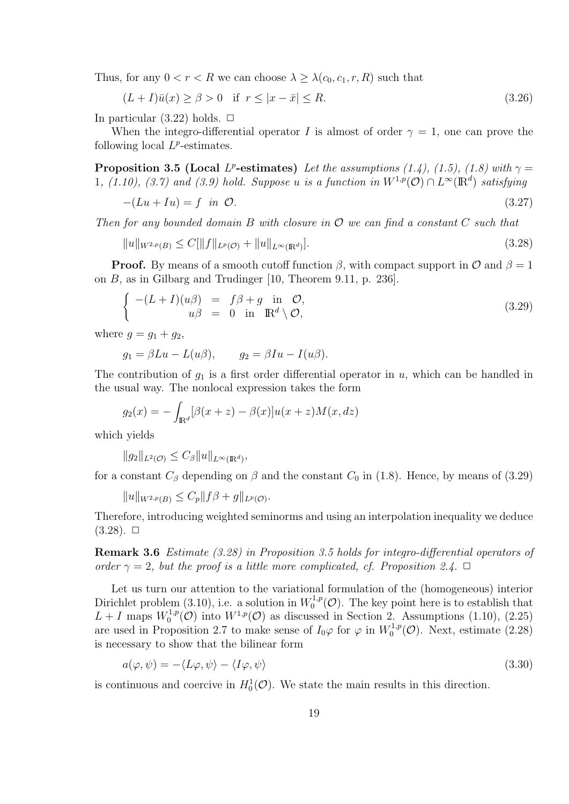Thus, for any  $0 < r < R$  we can choose  $\lambda \geq \lambda(c_0, c_1, r, R)$  such that

$$
(L+I)\bar{u}(x) \ge \beta > 0 \quad \text{if } \ r \le |x-\bar{x}| \le R. \tag{3.26}
$$

In particular  $(3.22)$  holds.  $\Box$ 

When the integro-differential operator *I* is almost of order  $\gamma = 1$ , one can prove the following local  $L^p$ -estimates.

**Proposition 3.5 (Local** *L*<sup>*p*</sup>-estimates) *Let the assumptions (1.4), (1.5), (1.8) with*  $\gamma$ 1*,* (1.10), (3.7) and (3.9) hold. Suppose *u* is a function in  $W^{1,p}(\mathcal{O}) \cap L^{\infty}(\mathbb{R}^d)$  satisfying

$$
-(Lu + Iu) = f \quad in \quad \mathcal{O}.\tag{3.27}
$$

*Then for any bounded domain B with closure in O we can find a constant C such that*

$$
||u||_{W^{2,p}(B)} \le C[||f||_{L^p(\mathcal{O})} + ||u||_{L^{\infty}(\mathbb{R}^d)}].
$$
\n(3.28)

**Proof.** By means of a smooth cutoff function  $\beta$ , with compact support in  $\mathcal{O}$  and  $\beta = 1$ on *B*, as in Gilbarg and Trudinger [10, Theorem 9.11, p. 236].

$$
\begin{cases}\n-(L+I)(u\beta) &= f\beta + g \text{ in } \mathcal{O}, \\
u\beta &= 0 \text{ in } \mathbb{R}^d \setminus \mathcal{O},\n\end{cases}
$$
\n(3.29)

where  $q = q_1 + q_2$ .

$$
g_1 = \beta Lu - L(u\beta), \qquad g_2 = \beta Iu - I(u\beta).
$$

The contribution of  $g_1$  is a first order differential operator in  $u$ , which can be handled in the usual way. The nonlocal expression takes the form

$$
g_2(x) = -\int_{\mathbb{R}^d} [\beta(x+z) - \beta(x)]u(x+z)M(x,dz)
$$

which yields

$$
||g_2||_{L^2(\mathcal{O})} \leq C_{\beta} ||u||_{L^{\infty}(\mathbb{R}^d)},
$$

for a constant  $C_\beta$  depending on  $\beta$  and the constant  $C_0$  in (1.8). Hence, by means of (3.29)

 $||u||_{W^{2,p}(B)} \leq C_p ||f\beta + g||_{L^p(\mathcal{O})}.$ 

Therefore, introducing weighted seminorms and using an interpolation inequality we deduce  $(3.28)$ .  $\Box$ 

**Remark 3.6** *Estimate (3.28) in Proposition 3.5 holds for integro-differential operators of order*  $\gamma = 2$ *, but the proof is a little more complicated, cf. Proposition 2.4.*  $\Box$ 

Let us turn our attention to the variational formulation of the (homogeneous) interior Dirichlet problem  $(3.10)$ , i.e. a solution in  $W_0^{1,p}$  $\int_0^{1,p}$  (*O*). The key point here is to establish that  $L + I$  maps  $W_0^{1,p}$  $\int_0^{1,p}$ (*O*) into  $W^{1,p}$ (*O*) as discussed in Section 2. Assumptions (1.10), (2.25) are used in Proposition 2.7 to make sense of  $I_0\varphi$  for  $\varphi$  in  $W_0^{1,p}$  $\chi_0^{1,p}(\mathcal{O})$ . Next, estimate  $(2.28)$ is necessary to show that the bilinear form

$$
a(\varphi, \psi) = -\langle L\varphi, \psi \rangle - \langle I\varphi, \psi \rangle \tag{3.30}
$$

is continuous and coercive in  $H_0^1(\mathcal{O})$ . We state the main results in this direction.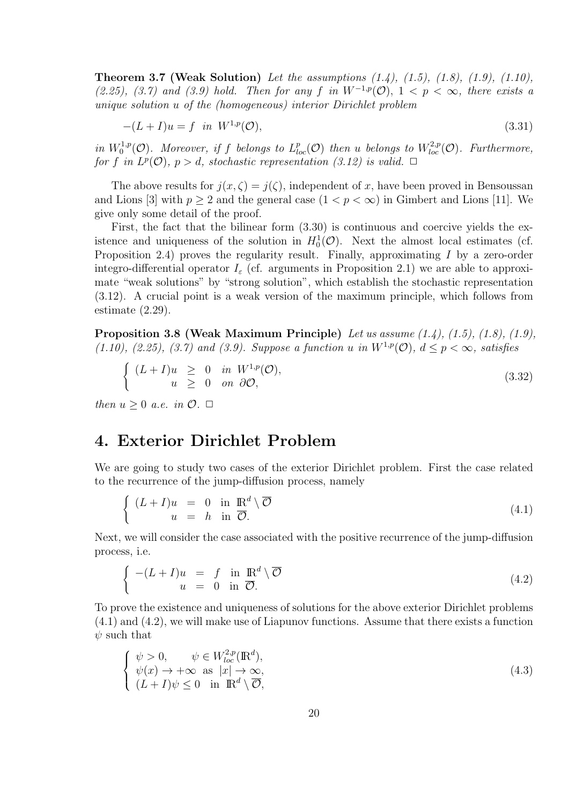**Theorem 3.7 (Weak Solution)** *Let the assumptions (1.4), (1.5), (1.8), (1.9), (1.10), (2.25), (3.7)* and (3.9) hold. Then for any *f* in  $W^{-1,p}(\mathcal{O})$ ,  $1 < p < \infty$ , there exists a *unique solution u of the (homogeneous) interior Dirichlet problem*

$$
-(L+I)u = f \quad in \quad W^{1,p}(\mathcal{O}), \tag{3.31}
$$

*in*  $W_0^{1,p}$  $L_{loc}^{1,p}(\mathcal{O})$ . Moreover, if f belongs to  $L_{loc}^p(\mathcal{O})$  then *u* belongs to  $W_{loc}^{2,p}(\mathcal{O})$ . Furthermore, *for f* in  $L^p(\mathcal{O})$ ,  $p > d$ , stochastic representation (3.12) is valid.  $\Box$ 

The above results for  $j(x,\zeta) = j(\zeta)$ , independent of x, have been proved in Bensoussan and Lions [3] with  $p \geq 2$  and the general case  $(1 < p < \infty)$  in Gimbert and Lions [11]. We give only some detail of the proof.

First, the fact that the bilinear form (3.30) is continuous and coercive yields the existence and uniqueness of the solution in  $H_0^1(\mathcal{O})$ . Next the almost local estimates (cf. Proposition 2.4) proves the regularity result. Finally, approximating *I* by a zero-order integro-differential operator  $I_{\varepsilon}$  (cf. arguments in Proposition 2.1) we are able to approximate "weak solutions" by "strong solution", which establish the stochastic representation (3.12). A crucial point is a weak version of the maximum principle, which follows from estimate (2.29).

**Proposition 3.8 (Weak Maximum Principle)** *Let us assume (1.4), (1.5), (1.8), (1.9), (1.10), (2.25), (3.7) and (3.9). Suppose a function <i>u* in  $W^{1,p}(\mathcal{O})$ ,  $d \leq p \leq \infty$ , satisfies

$$
\begin{cases}\n(L+I)u \geq 0 & \text{in } W^{1,p}(\mathcal{O}), \\
u \geq 0 & \text{on } \partial\mathcal{O},\n\end{cases}
$$
\n(3.32)

*then*  $u > 0$  *a.e.* in  $\mathcal{O}$ .  $\Box$ 

### **4. Exterior Dirichlet Problem**

We are going to study two cases of the exterior Dirichlet problem. First the case related to the recurrence of the jump-diffusion process, namely

$$
\begin{cases}\n(L+I)u = 0 \text{ in } \mathbb{R}^d \setminus \overline{\mathcal{O}} \\
u = h \text{ in } \overline{\mathcal{O}}.\n\end{cases}
$$
\n(4.1)

Next, we will consider the case associated with the positive recurrence of the jump-diffusion process, i.e.

$$
\begin{cases}\n-(L+I)u &= f \text{ in } \mathbb{R}^d \setminus \overline{\mathcal{O}} \\
u &= 0 \text{ in } \overline{\mathcal{O}}.\n\end{cases}
$$
\n(4.2)

To prove the existence and uniqueness of solutions for the above exterior Dirichlet problems (4.1) and (4.2), we will make use of Liapunov functions. Assume that there exists a function *ψ* such that

$$
\begin{cases}\n\psi > 0, & \psi \in W_{loc}^{2,p}(\mathbb{R}^d), \\
\psi(x) \to +\infty \text{ as } |x| \to \infty, \\
(L+I)\psi \le 0 \text{ in } \mathbb{R}^d \setminus \overline{\mathcal{O}},\n\end{cases}
$$
\n(4.3)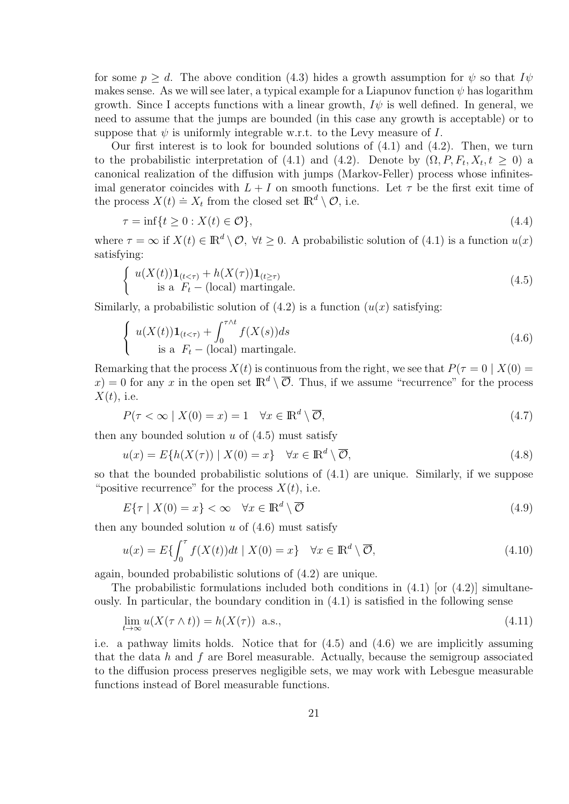for some  $p > d$ . The above condition (4.3) hides a growth assumption for  $\psi$  so that  $I\psi$ makes sense. As we will see later, a typical example for a Liapunov function  $\psi$  has logarithm growth. Since I accepts functions with a linear growth,  $I\psi$  is well defined. In general, we need to assume that the jumps are bounded (in this case any growth is acceptable) or to suppose that  $\psi$  is uniformly integrable w.r.t. to the Levy measure of *I*.

Our first interest is to look for bounded solutions of  $(4.1)$  and  $(4.2)$ . Then, we turn to the probabilistic interpretation of (4.1) and (4.2). Denote by  $(\Omega, P, F_t, X_t, t \geq 0)$  a canonical realization of the diffusion with jumps (Markov-Feller) process whose infinitesimal generator coincides with  $L + I$  on smooth functions. Let  $\tau$  be the first exit time of the process  $X(t) \doteq X_t$  from the closed set  $\mathbb{R}^d \setminus \mathcal{O}$ , i.e.

$$
\tau = \inf\{t \ge 0 : X(t) \in \mathcal{O}\},\tag{4.4}
$$

where  $\tau = \infty$  if  $X(t) \in \mathbb{R}^d \setminus \mathcal{O}, \forall t \geq 0$ . A probabilistic solution of (4.1) is a function  $u(x)$ satisfying:

$$
\begin{cases}\n u(X(t))\mathbf{1}_{(t<\tau)} + h(X(\tau))\mathbf{1}_{(t\geq \tau)} \\
 \text{is a } F_t - (\text{local}) \text{ martingale.} \n\end{cases} \tag{4.5}
$$

Similarly, a probabilistic solution of  $(4.2)$  is a function  $(u(x))$  satisfying:

$$
\begin{cases}\n u(X(t))\mathbf{1}_{(t<\tau)} + \int_0^{\tau \wedge t} f(X(s))ds \\
 \text{is a } F_t - (\text{local}) \text{ martingale.}\n\end{cases} \tag{4.6}
$$

Remarking that the process  $X(t)$  is continuous from the right, we see that  $P(\tau = 0 | X(0) =$  $f(x) = 0$  for any *x* in the open set  $\mathbb{R}^d \setminus \overline{\mathcal{O}}$ . Thus, if we assume "recurrence" for the process *X*(*t*), i.e.

$$
P(\tau < \infty \mid X(0) = x) = 1 \quad \forall x \in \mathbb{R}^d \setminus \overline{\mathcal{O}},\tag{4.7}
$$

then any bounded solution *u* of (4.5) must satisfy

$$
u(x) = E\{h(X(\tau)) \mid X(0) = x\} \quad \forall x \in \mathbb{R}^d \setminus \overline{\mathcal{O}},\tag{4.8}
$$

so that the bounded probabilistic solutions of (4.1) are unique. Similarly, if we suppose "positive recurrence" for the process  $X(t)$ , i.e.

$$
E\{\tau \mid X(0) = x\} < \infty \quad \forall x \in \mathbb{R}^d \setminus \overline{\mathcal{O}} \tag{4.9}
$$

then any bounded solution  $u$  of  $(4.6)$  must satisfy

$$
u(x) = E\{\int_0^{\tau} f(X(t))dt \mid X(0) = x\} \quad \forall x \in \mathbb{R}^d \setminus \overline{\mathcal{O}},\tag{4.10}
$$

again, bounded probabilistic solutions of (4.2) are unique.

The probabilistic formulations included both conditions in  $(4.1)$  [or  $(4.2)$ ] simultaneously. In particular, the boundary condition in (4.1) is satisfied in the following sense

$$
\lim_{t \to \infty} u(X(\tau \wedge t)) = h(X(\tau)) \text{ a.s.},\tag{4.11}
$$

i.e. a pathway limits holds. Notice that for (4.5) and (4.6) we are implicitly assuming that the data *h* and *f* are Borel measurable. Actually, because the semigroup associated to the diffusion process preserves negligible sets, we may work with Lebesgue measurable functions instead of Borel measurable functions.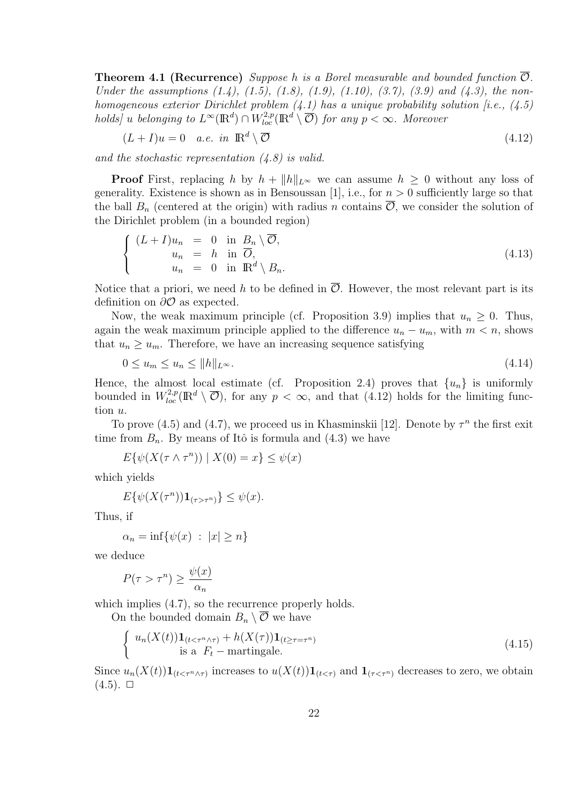**Theorem 4.1 (Recurrence)** *Suppose h* is a Borel measurable and bounded function  $\overline{O}$ *. Under the assumptions (1.4), (1.5), (1.8), (1.9), (1.10), (3.7), (3.9) and (4.3), the nonhomogeneous exterior Dirichlet problem (4.1) has a unique probability solution [i.e., (4.5) holds* $\int u$  *belonging to*  $L^{\infty}(\mathbb{R}^d) \cap W_{loc}^{2,p}(\mathbb{R}^d \setminus \overline{\mathcal{O}})$  *for any*  $p < \infty$ *. Moreover* 

$$
(L+I)u = 0 \quad a.e. \quad in \quad \mathbb{R}^d \setminus \overline{\mathcal{O}} \tag{4.12}
$$

*and the stochastic representation (4.8) is valid.*

**Proof** First, replacing *h* by  $h + ||h||_{L^{\infty}}$  we can assume  $h \geq 0$  without any loss of generality. Existence is shown as in Bensoussan [1], i.e., for  $n > 0$  sufficiently large so that the ball  $B_n$  (centered at the origin) with radius *n* contains  $\overline{\mathcal{O}}$ , we consider the solution of the Dirichlet problem (in a bounded region)

$$
\begin{cases}\n(L+I)u_n = 0 \text{ in } B_n \setminus \overline{\mathcal{O}}, \\
u_n = h \text{ in } \overline{\mathcal{O}}, \\
u_n = 0 \text{ in } \mathbb{R}^d \setminus B_n.\n\end{cases}
$$
\n(4.13)

Notice that a priori, we need h to be defined in  $\overline{O}$ . However, the most relevant part is its definition on *∂O* as expected.

Now, the weak maximum principle (cf. Proposition 3.9) implies that  $u_n \geq 0$ . Thus, again the weak maximum principle applied to the difference  $u_n - u_m$ , with  $m < n$ , shows that  $u_n \geq u_m$ . Therefore, we have an increasing sequence satisfying

$$
0 \le u_m \le u_n \le ||h||_{L^{\infty}}.\tag{4.14}
$$

Hence, the almost local estimate (cf. Proposition 2.4) proves that  $\{u_n\}$  is uniformly bounded in  $W_{loc}^{2,p}(\mathbb{R}^d \setminus \overline{\mathcal{O}})$ , for any  $p < \infty$ , and that (4.12) holds for the limiting function *u*.

To prove (4.5) and (4.7), we proceed us in Khasminskii [12]. Denote by  $\tau^n$  the first exit time from  $B_n$ . By means of Itô is formula and  $(4.3)$  we have

$$
E\{\psi(X(\tau \wedge \tau^n)) \mid X(0) = x\} \le \psi(x)
$$

which yields

$$
E\{\psi(X(\tau^n))\mathbf{1}_{(\tau>\tau^n)}\}\leq \psi(x).
$$

Thus, if

$$
\alpha_n = \inf \{ \psi(x) \ : \ |x| \ge n \}
$$

we deduce

$$
P(\tau > \tau^n) \ge \frac{\psi(x)}{\alpha_n}
$$

which implies  $(4.7)$ , so the recurrence properly holds.

On the bounded domain  $B_n \setminus \overline{\mathcal{O}}$  we have

$$
\begin{cases}\n u_n(X(t))\mathbf{1}_{(t < \tau^n \wedge \tau)} + h(X(\tau))\mathbf{1}_{(t \ge \tau = \tau^n)} \\
 \text{is a } F_t - \text{martingale.} \n\end{cases} \tag{4.15}
$$

Since  $u_n(X(t))\mathbf{1}_{(t<\tau^n\wedge\tau)}$  increases to  $u(X(t))\mathbf{1}_{(t<\tau)}$  and  $\mathbf{1}_{(\tau<\tau^n)}$  decreases to zero, we obtain  $(4.5)$ .  $\Box$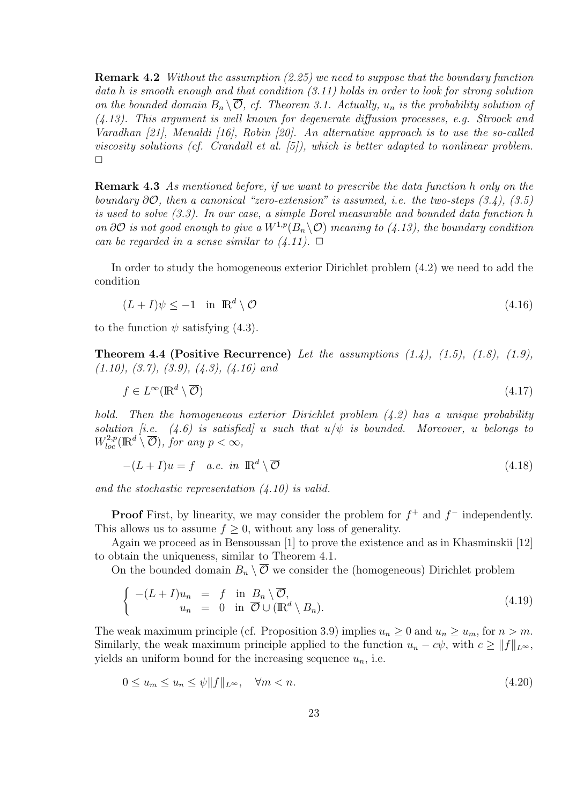**Remark 4.2** *Without the assumption (2.25) we need to suppose that the boundary function data h is smooth enough and that condition (3.11) holds in order to look for strong solution on the bounded domain*  $B_n \setminus \overline{O}$ *, cf. Theorem 3.1. Actually,*  $u_n$  *is the probability solution of (4.13). This argument is well known for degenerate diffusion processes, e.g. Stroock and Varadhan [21], Menaldi [16], Robin [20]. An alternative approach is to use the so-called viscosity solutions (cf. Crandall et al. [5]), which is better adapted to nonlinear problem.*  $\Box$ 

**Remark 4.3** *As mentioned before, if we want to prescribe the data function h only on the boundary ∂O, then a canonical "zero-extension" is assumed, i.e. the two-steps (3.4), (3.5) is used to solve (3.3). In our case, a simple Borel measurable and bounded data function h on*  $\partial O$  *is not good enough to give a*  $W^{1,p}(B_n \setminus O)$  *meaning to (4.13), the boundary condition can be regarded in a sense similar to*  $(4.11)$ *.*  $\Box$ 

In order to study the homogeneous exterior Dirichlet problem (4.2) we need to add the condition

$$
(L+I)\psi \le -1 \quad \text{in } \mathbb{R}^d \setminus \mathcal{O} \tag{4.16}
$$

to the function  $\psi$  satisfying (4.3).

**Theorem 4.4 (Positive Recurrence)** *Let the assumptions (1.4), (1.5), (1.8), (1.9), (1.10), (3.7), (3.9), (4.3), (4.16) and*

$$
f \in L^{\infty}(\mathbb{R}^d \setminus \overline{\mathcal{O}}) \tag{4.17}
$$

*hold. Then the homogeneous exterior Dirichlet problem (4.2) has a unique probability solution [i.e.*  $(4.6)$  *is satisfied] u such that*  $u/\psi$  *is bounded. Moreover, u belongs to*  $W^{2,p}_{loc}(\mathbb{R}^d \setminus \overline{\mathcal{O}})$ *, for any*  $p < \infty$ *,* 

$$
-(L+I)u = f \quad a.e. \quad in \quad \mathbb{R}^d \setminus \overline{\mathcal{O}} \tag{4.18}
$$

*and the stochastic representation (4.10) is valid.*

**Proof** First, by linearity, we may consider the problem for  $f$ <sup>+</sup> and  $f$ <sup>−</sup> independently. This allows us to assume  $f \geq 0$ , without any loss of generality.

Again we proceed as in Bensoussan [1] to prove the existence and as in Khasminskii [12] to obtain the uniqueness, similar to Theorem 4.1.

On the bounded domain  $B_n \setminus \overline{\mathcal{O}}$  we consider the (homogeneous) Dirichlet problem

$$
\begin{cases}\n-(L+I)u_n = f \text{ in } B_n \setminus \overline{\mathcal{O}},\\ \nu_n = 0 \text{ in } \overline{\mathcal{O}} \cup (\mathbb{R}^d \setminus B_n).\n\end{cases} (4.19)
$$

The weak maximum principle (cf. Proposition 3.9) implies  $u_n \geq 0$  and  $u_n \geq u_m$ , for  $n > m$ . Similarly, the weak maximum principle applied to the function  $u_n - c\psi$ , with  $c \ge ||f||_{L^{\infty}}$ , yields an uniform bound for the increasing sequence  $u_n$ , i.e.

$$
0 \le u_m \le u_n \le \psi \|f\|_{L^\infty}, \quad \forall m < n. \tag{4.20}
$$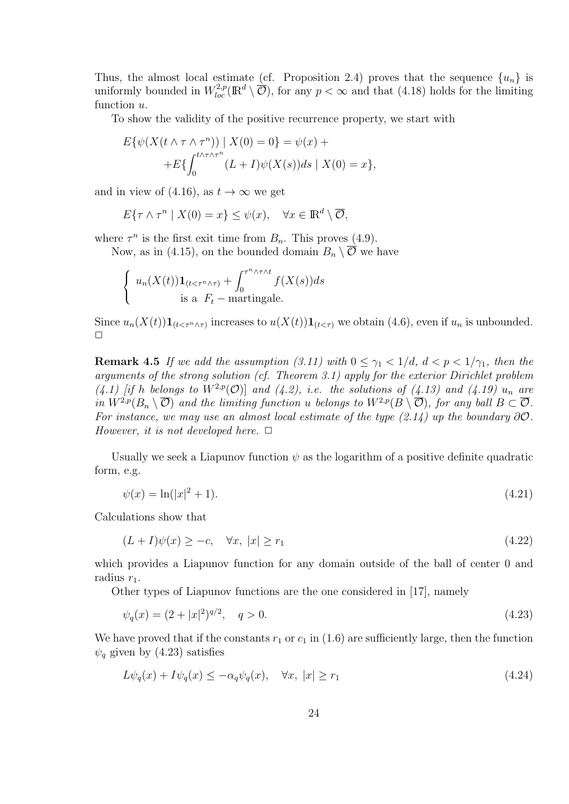Thus, the almost local estimate (cf. Proposition 2.4) proves that the sequence  $\{u_n\}$  is uniformly bounded in  $W_{loc}^{2,p}(\mathbb{R}^d \setminus \overline{\mathcal{O}})$ , for any  $p < \infty$  and that (4.18) holds for the limiting function *u*.

To show the validity of the positive recurrence property, we start with

$$
E\{\psi(X(t \wedge \tau \wedge \tau^n)) \mid X(0) = 0\} = \psi(x) ++E\{\int_0^{t \wedge \tau \wedge \tau^n} (L+I)\psi(X(s))ds \mid X(0) = x\},\
$$

and in view of  $(4.16)$ , as  $t \to \infty$  we get

$$
E\{\tau \wedge \tau^n \mid X(0) = x\} \le \psi(x), \quad \forall x \in \mathbb{R}^d \setminus \overline{\mathcal{O}},
$$

where  $\tau^n$  is the first exit time from  $B_n$ . This proves (4.9).

Now, as in (4.15), on the bounded domain  $B_n \setminus \overline{O}$  we have

$$
\begin{cases} u_n(X(t))\mathbf{1}_{(t<\tau^n\wedge\tau)} + \int_0^{\tau^n\wedge\tau\wedge t} f(X(s))ds\\ \text{is a } F_t - \text{martingale.} \end{cases}
$$

Since  $u_n(X(t))\mathbf{1}_{(t<\tau^n\wedge\tau)}$  increases to  $u(X(t))\mathbf{1}_{(t<\tau)}$  we obtain (4.6), even if  $u_n$  is unbounded.  $\Box$ 

**Remark 4.5** *If we add the assumption (3.11) with*  $0 \leq \gamma_1 < 1/d$ ,  $d < p < 1/\gamma_1$ , then the *arguments of the strong solution (cf. Theorem 3.1) apply for the exterior Dirichlet problem*  $(4.1)$  *if h belongs to*  $W^{2,p}(\mathcal{O})$  *and*  $(4.2)$ *, i.e. the solutions of*  $(4.13)$  *and*  $(4.19)$  *u<sub>n</sub> are* in  $W^{2,p}(B_n \setminus \overline{\mathcal{O}})$  and the limiting function u belongs to  $W^{2,p}(B \setminus \overline{\mathcal{O}})$ , for any ball  $B \subset \overline{\mathcal{O}}$ . *For instance, we may use an almost local estimate of the type*  $(2.14)$  *up the boundary*  $\partial O$ *. However, it is not developed here.*  $\Box$ 

Usually we seek a Liapunov function  $\psi$  as the logarithm of a positive definite quadratic form, e.g.

$$
\psi(x) = \ln(|x|^2 + 1). \tag{4.21}
$$

Calculations show that

$$
(L+I)\psi(x) \ge -c, \quad \forall x, \ |x| \ge r_1 \tag{4.22}
$$

which provides a Liapunov function for any domain outside of the ball of center 0 and radius  $r_1$ .

Other types of Liapunov functions are the one considered in [17], namely

$$
\psi_q(x) = (2 + |x|^2)^{q/2}, \quad q > 0. \tag{4.23}
$$

We have proved that if the constants  $r_1$  or  $c_1$  in (1.6) are sufficiently large, then the function  $\psi_q$  given by (4.23) satisfies

$$
L\psi_q(x) + I\psi_q(x) \le -\alpha_q \psi_q(x), \quad \forall x, \ |x| \ge r_1 \tag{4.24}
$$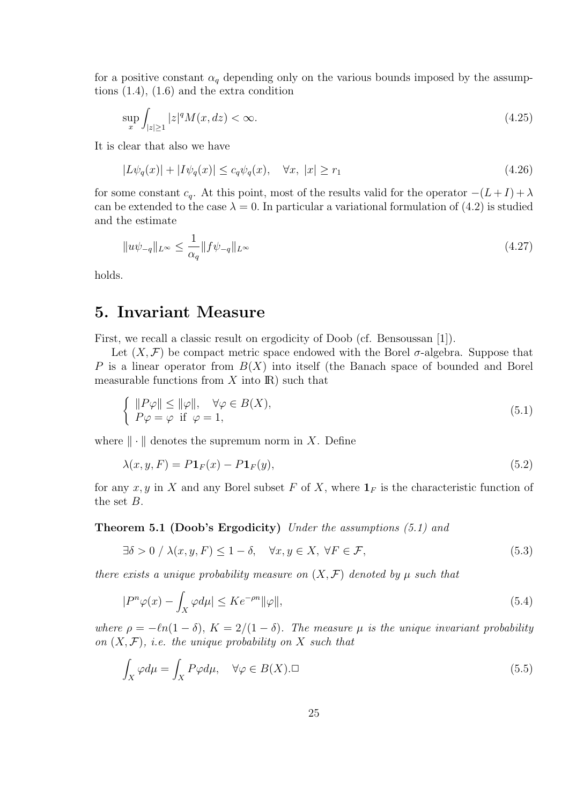for a positive constant  $\alpha_q$  depending only on the various bounds imposed by the assumptions (1.4), (1.6) and the extra condition

$$
\sup_{x} \int_{|z| \ge 1} |z|^q M(x, dz) < \infty. \tag{4.25}
$$

It is clear that also we have

$$
|L\psi_q(x)| + |I\psi_q(x)| \le c_q \psi_q(x), \quad \forall x, \ |x| \ge r_1 \tag{4.26}
$$

for some constant  $c_q$ . At this point, most of the results valid for the operator  $-(L+I) + \lambda$ can be extended to the case  $\lambda = 0$ . In particular a variational formulation of (4.2) is studied and the estimate

$$
||u\psi_{-q}||_{L^{\infty}} \le \frac{1}{\alpha_q} ||f\psi_{-q}||_{L^{\infty}}
$$
\n(4.27)

holds.

### **5. Invariant Measure**

First, we recall a classic result on ergodicity of Doob (cf. Bensoussan [1]).

Let  $(X, \mathcal{F})$  be compact metric space endowed with the Borel  $\sigma$ -algebra. Suppose that *P* is a linear operator from *B*(*X*) into itself (the Banach space of bounded and Borel measurable functions from  $X$  into  $\mathbb{R}$ ) such that

$$
\begin{cases}\n||P\varphi|| \le ||\varphi||, & \forall \varphi \in B(X), \\
P\varphi = \varphi \text{ if } \varphi = 1,\n\end{cases}
$$
\n(5.1)

where  $\|\cdot\|$  denotes the supremum norm in X. Define

$$
\lambda(x, y, F) = P \mathbf{1}_F(x) - P \mathbf{1}_F(y),\tag{5.2}
$$

for any  $x, y$  in  $X$  and any Borel subset  $F$  of  $X$ , where  $\mathbf{1}_F$  is the characteristic function of the set *B*.

#### **Theorem 5.1 (Doob's Ergodicity)** *Under the assumptions (5.1) and*

$$
\exists \delta > 0 \;/\ \lambda(x, y, F) \le 1 - \delta, \quad \forall x, y \in X, \ \forall F \in \mathcal{F}, \tag{5.3}
$$

*there exists a unique probability measure on*  $(X, \mathcal{F})$  *denoted by*  $\mu$  *such that* 

$$
|P^n\varphi(x) - \int_X \varphi d\mu| \le K e^{-\rho n} \|\varphi\|,\tag{5.4}
$$

*where*  $\rho = -\ell n(1 - \delta)$ ,  $K = 2/(1 - \delta)$ . The measure  $\mu$  is the unique invariant probability *on*  $(X, \mathcal{F})$ *, i.e. the unique probability on*  $X$  *such that* 

$$
\int_{X} \varphi d\mu = \int_{X} P\varphi d\mu, \quad \forall \varphi \in B(X). \Box
$$
\n(5.5)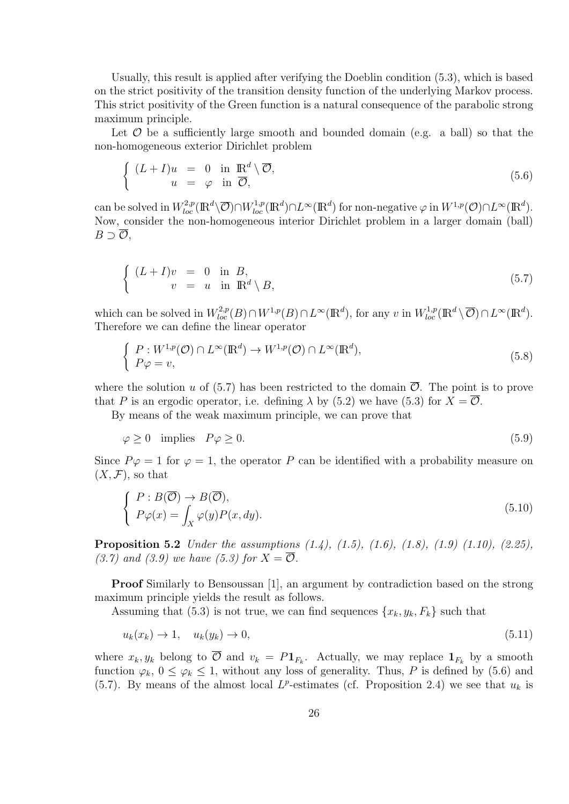Usually, this result is applied after verifying the Doeblin condition (5.3), which is based on the strict positivity of the transition density function of the underlying Markov process. This strict positivity of the Green function is a natural consequence of the parabolic strong maximum principle.

Let  $\mathcal O$  be a sufficiently large smooth and bounded domain (e.g. a ball) so that the non-homogeneous exterior Dirichlet problem

$$
\begin{cases}\n(L+I)u = 0 \text{ in } \mathbb{R}^d \setminus \overline{\mathcal{O}}, \\
u = \varphi \text{ in } \overline{\mathcal{O}},\n\end{cases}
$$
\n(5.6)

can be solved in  $W^{2,p}_{loc}(\mathbb{R}^d \setminus \overline{\mathcal{O}}) \cap W^{1,p}_{loc}(\mathbb{R}^d) \cap L^{\infty}(\mathbb{R}^d)$  for non-negative  $\varphi$  in  $W^{1,p}(\mathcal{O}) \cap L^{\infty}(\mathbb{R}^d)$ . Now, consider the non-homogeneous interior Dirichlet problem in a larger domain (ball) *B ⊃ O*,

$$
\begin{cases}\n(L+I)v = 0 \text{ in } B, \\
v = u \text{ in } \mathbb{R}^d \setminus B,\n\end{cases}
$$
\n(5.7)

which can be solved in  $W^{2,p}_{loc}(B) \cap W^{1,p}(B) \cap L^{\infty}(\mathbb{R}^d)$ , for any v in  $W^{1,p}_{loc}(\mathbb{R}^d \setminus \overline{\mathcal{O}}) \cap L^{\infty}(\mathbb{R}^d)$ . Therefore we can define the linear operator

$$
\begin{cases}\nP: W^{1,p}(\mathcal{O}) \cap L^{\infty}(\mathbb{R}^d) \to W^{1,p}(\mathcal{O}) \cap L^{\infty}(\mathbb{R}^d), \\
P\varphi = v,\n\end{cases} \tag{5.8}
$$

where the solution *u* of  $(5.7)$  has been restricted to the domain  $\mathcal{O}$ . The point is to prove that *P* is an ergodic operator, i.e. defining  $\lambda$  by (5.2) we have (5.3) for  $X = \overline{\mathcal{O}}$ .

By means of the weak maximum principle, we can prove that

$$
\varphi \ge 0 \quad \text{implies} \quad P\varphi \ge 0. \tag{5.9}
$$

Since  $P\varphi = 1$  for  $\varphi = 1$ , the operator P can be identified with a probability measure on  $(X, \mathcal{F})$ , so that

$$
\begin{cases}\nP: B(\overline{\mathcal{O}}) \to B(\overline{\mathcal{O}}), \\
P\varphi(x) = \int_X \varphi(y)P(x, dy).\n\end{cases}
$$
\n(5.10)

**Proposition 5.2** *Under the assumptions (1.4), (1.5), (1.6), (1.8), (1.9) (1.10), (2.25), (3.7)* and (3.9) we have (5.3) for  $X = \overline{O}$ .

**Proof** Similarly to Bensoussan [1], an argument by contradiction based on the strong maximum principle yields the result as follows.

Assuming that (5.3) is not true, we can find sequences  $\{x_k, y_k, F_k\}$  such that

$$
u_k(x_k) \to 1, \quad u_k(y_k) \to 0,\tag{5.11}
$$

where  $x_k, y_k$  belong to  $\mathcal{O}$  and  $v_k = P \mathbf{1}_{F_k}$ . Actually, we may replace  $\mathbf{1}_{F_k}$  by a smooth function  $\varphi_k$ ,  $0 \leq \varphi_k \leq 1$ , without any loss of generality. Thus, P is defined by (5.6) and (5.7). By means of the almost local  $L^p$ -estimates (cf. Proposition 2.4) we see that  $u_k$  is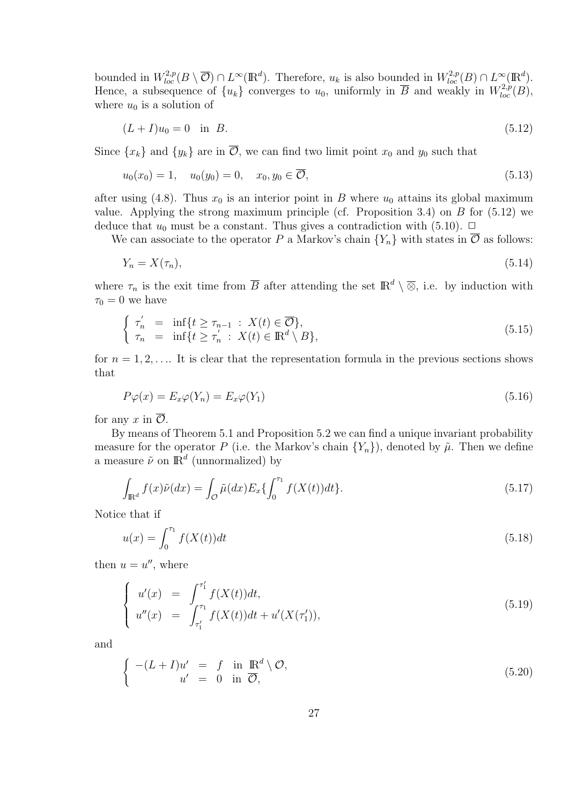bounded in  $W^{2,p}_{loc}(B \setminus \overline{\mathcal{O}}) \cap L^{\infty}(\mathbb{R}^d)$ . Therefore,  $u_k$  is also bounded in  $W^{2,p}_{loc}(B) \cap L^{\infty}(\mathbb{R}^d)$ . Hence, a subsequence of  $\{u_k\}$  converges to  $u_0$ , uniformly in  $\overline{B}$  and weakly in  $W^{2,p}_{loc}(B)$ , where  $u_0$  is a solution of

$$
(L+I)u_0 = 0 \text{ in } B. \tag{5.12}
$$

Since  $\{x_k\}$  and  $\{y_k\}$  are in  $\overline{\mathcal{O}}$ , we can find two limit point  $x_0$  and  $y_0$  such that

$$
u_0(x_0) = 1, \quad u_0(y_0) = 0, \quad x_0, y_0 \in \overline{\mathcal{O}}, \tag{5.13}
$$

after using (4.8). Thus  $x_0$  is an interior point in *B* where  $u_0$  attains its global maximum value. Applying the strong maximum principle (cf. Proposition 3.4) on *B* for (5.12) we deduce that  $u_0$  must be a constant. Thus gives a contradiction with (5.10).  $\Box$ 

We can associate to the operator *P* a Markov's chain  ${Y_n}$  with states in  $\overline{O}$  as follows:

$$
Y_n = X(\tau_n),\tag{5.14}
$$

where  $\tau_n$  is the exit time from  $\overline{B}$  after attending the set  $\mathbb{R}^d \setminus \overline{\otimes}$ , i.e. by induction with  $\tau_0 = 0$  we have

$$
\begin{cases}\n\tau'_n = \inf\{t \ge \tau_{n-1} : X(t) \in \overline{\mathcal{O}}\}, \\
\tau_n = \inf\{t \ge \tau'_n : X(t) \in \mathbb{R}^d \setminus B\},\n\end{cases} \tag{5.15}
$$

for  $n = 1, 2, \ldots$  It is clear that the representation formula in the previous sections shows that

$$
P\varphi(x) = E_x \varphi(Y_n) = E_x \varphi(Y_1)
$$
\n<sup>(5.16)</sup>

for any  $x$  in  $\overline{\mathcal{O}}$ .

By means of Theorem 5.1 and Proposition 5.2 we can find a unique invariant probability measure for the operator *P* (i.e. the Markov's chain  ${Y_n}$ ), denoted by  $\tilde{\mu}$ . Then we define a measure  $\tilde{\nu}$  on  $\mathbb{R}^d$  (unnormalized) by

$$
\int_{\mathbb{R}^d} f(x)\tilde{\nu}(dx) = \int_{\mathcal{O}} \tilde{\mu}(dx) E_x \{ \int_0^{\tau_1} f(X(t))dt \}. \tag{5.17}
$$

Notice that if

$$
u(x) = \int_0^{\tau_1} f(X(t))dt
$$
\n(5.18)

then  $u = u''$ , where

$$
\begin{cases}\nu'(x) = \int_{\tau_1'}^{\tau_1'} f(X(t))dt, \\
u''(x) = \int_{\tau_1'}^{\tau_1} f(X(t))dt + u'(X(\tau_1')),\n\end{cases} (5.19)
$$

and

$$
\begin{cases}\n-(L+I)u' &= f \text{ in } \mathbb{R}^d \setminus \mathcal{O}, \\
u' &= 0 \text{ in } \overline{\mathcal{O}},\n\end{cases}
$$
\n(5.20)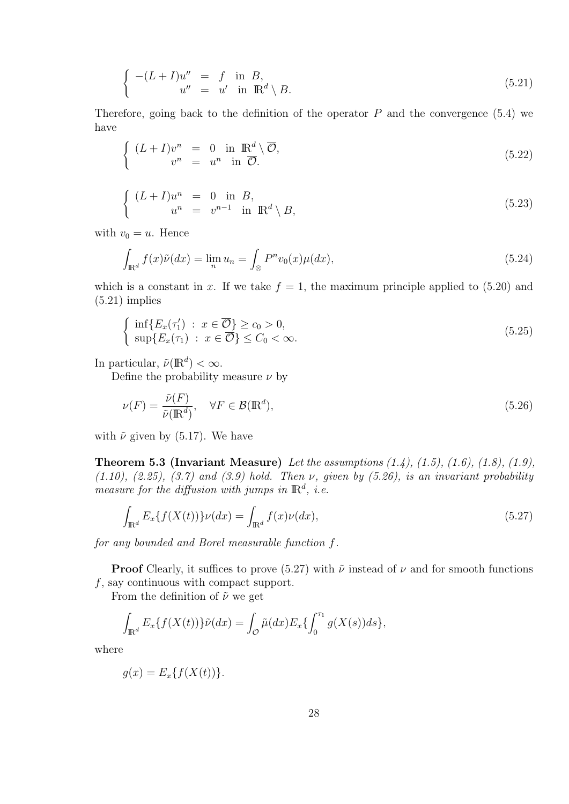$$
\begin{cases}\n-(L+I)u'' & = f \text{ in } B, \\
u'' & = u' \text{ in } \mathbb{R}^d \setminus B.\n\end{cases}
$$
\n(5.21)

Therefore, going back to the definition of the operator  $P$  and the convergence  $(5.4)$  we have

$$
\begin{cases}\n(L+I)v^n = 0 \text{ in } \mathbb{R}^d \setminus \overline{\mathcal{O}},\\ v^n = u^n \text{ in } \overline{\mathcal{O}}.\n\end{cases}
$$
\n(5.22)

$$
\begin{cases}\n(L+I)u^n = 0 \text{ in } B, \\
u^n = v^{n-1} \text{ in } \mathbb{R}^d \setminus B,\n\end{cases}
$$
\n(5.23)

with  $v_0 = u$ . Hence

$$
\int_{\mathbb{R}^d} f(x)\tilde{\nu}(dx) = \lim_n u_n = \int_{\otimes} P^n v_0(x)\mu(dx),\tag{5.24}
$$

which is a constant in *x*. If we take  $f = 1$ , the maximum principle applied to (5.20) and  $(5.21)$  implies

$$
\begin{cases} \inf\{E_x(\tau_1') : x \in \overline{\mathcal{O}}\} \ge c_0 > 0, \\ \sup\{E_x(\tau_1) : x \in \overline{\mathcal{O}}\} \le C_0 < \infty. \end{cases} \tag{5.25}
$$

In particular,  $\tilde{\nu}(\mathbb{R}^d) < \infty$ .

Define the probability measure *ν* by

$$
\nu(F) = \frac{\tilde{\nu}(F)}{\tilde{\nu}(\mathbb{R}^d)}, \quad \forall F \in \mathcal{B}(\mathbb{R}^d), \tag{5.26}
$$

with  $\tilde{\nu}$  given by (5.17). We have

**Theorem 5.3 (Invariant Measure)** *Let the assumptions (1.4), (1.5), (1.6), (1.8), (1.9), (1.10), (2.25), (3.7) and (3.9) hold. Then ν, given by (5.26), is an invariant probability measure for the diffusion with jumps in*  $\mathbb{R}^d$ , *i.e.* 

$$
\int_{\mathbb{R}^d} E_x \{ f(X(t)) \} \nu(dx) = \int_{\mathbb{R}^d} f(x) \nu(dx),\tag{5.27}
$$

*for any bounded and Borel measurable function f.*

**Proof** Clearly, it suffices to prove (5.27) with  $\tilde{\nu}$  instead of  $\nu$  and for smooth functions *f*, say continuous with compact support.

From the definition of ˜*ν* we get

$$
\int_{\mathbb{R}^d} E_x \{ f(X(t)) \} \tilde{\nu}(dx) = \int_{\mathcal{O}} \tilde{\mu}(dx) E_x \{ \int_0^{\tau_1} g(X(s)) ds \},
$$

where

$$
g(x) = E_x\{f(X(t))\}.
$$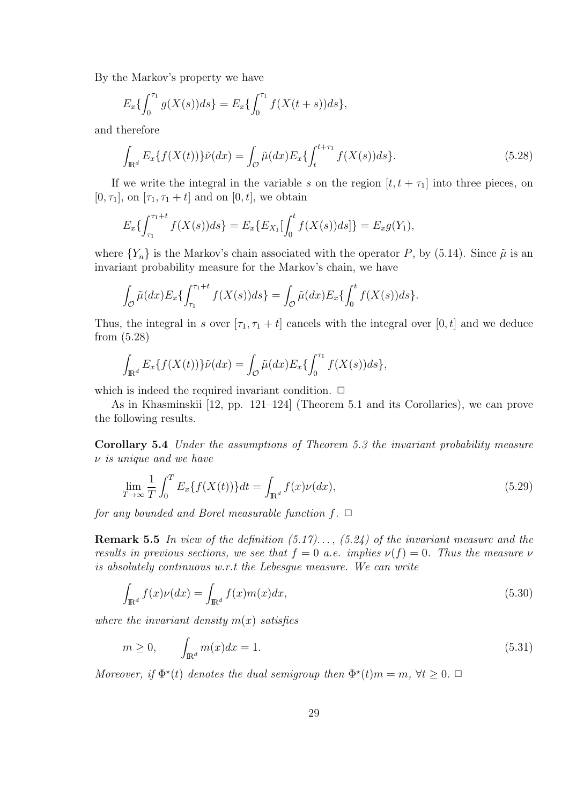By the Markov's property we have

$$
E_x\{\int_0^{\tau_1} g(X(s))ds\} = E_x\{\int_0^{\tau_1} f(X(t+s))ds\},\
$$

and therefore

$$
\int_{\mathbb{R}^d} E_x \{ f(X(t)) \} \tilde{\nu}(dx) = \int_{\mathcal{O}} \tilde{\mu}(dx) E_x \{ \int_t^{t+\tau_1} f(X(s)) ds \}.
$$
\n(5.28)

If we write the integral in the variable *s* on the region  $[t, t + \tau_1]$  into three pieces, on  $[0, \tau_1]$ , on  $[\tau_1, \tau_1 + t]$  and on  $[0, t]$ , we obtain

$$
E_x\{\int_{\tau_1}^{\tau_1+t} f(X(s))ds\} = E_x\{E_{X_1}[\int_0^t f(X(s))ds]\} = E_xg(Y_1),
$$

where  $\{Y_n\}$  is the Markov's chain associated with the operator *P*, by (5.14). Since  $\tilde{\mu}$  is an invariant probability measure for the Markov's chain, we have

$$
\int_{\mathcal{O}} \tilde{\mu}(dx) E_x \{ \int_{\tau_1}^{\tau_1+t} f(X(s)) ds \} = \int_{\mathcal{O}} \tilde{\mu}(dx) E_x \{ \int_0^t f(X(s)) ds \}.
$$

Thus, the integral in *s* over  $[\tau_1, \tau_1 + t]$  cancels with the integral over  $[0, t]$  and we deduce from (5.28)

$$
\int_{\mathbb{R}^d} E_x \{ f(X(t)) \} \tilde{\nu}(dx) = \int_{\mathcal{O}} \tilde{\mu}(dx) E_x \{ \int_0^{\tau_1} f(X(s)) ds \},
$$

which is indeed the required invariant condition.  $\Box$ 

As in Khasminskii [12, pp. 121–124] (Theorem 5.1 and its Corollaries), we can prove the following results.

**Corollary 5.4** *Under the assumptions of Theorem 5.3 the invariant probability measure ν is unique and we have*

$$
\lim_{T \to \infty} \frac{1}{T} \int_0^T E_x \{ f(X(t)) \} dt = \int_{\mathbb{R}^d} f(x) \nu(dx), \tag{5.29}
$$

*for any bounded and Borel measurable function*  $f$ .  $\Box$ 

**Remark 5.5** *In view of the definition (5.17). . . , (5.24) of the invariant measure and the results in previous sections, we see that*  $f = 0$  *a.e. implies*  $\nu(f) = 0$ *. Thus the measure*  $\nu$ *is absolutely continuous w.r.t the Lebesgue measure. We can write*

$$
\int_{\mathbb{R}^d} f(x)\nu(dx) = \int_{\mathbb{R}^d} f(x)m(x)dx,\tag{5.30}
$$

*where the invariant density m*(*x*) *satisfies*

$$
m \ge 0, \qquad \int_{\mathbb{R}^d} m(x)dx = 1. \tag{5.31}
$$

*Moreover, if*  $\Phi^*(t)$  *denotes the dual semigroup then*  $\Phi^*(t)m = m$ ,  $\forall t \geq 0$ .  $\Box$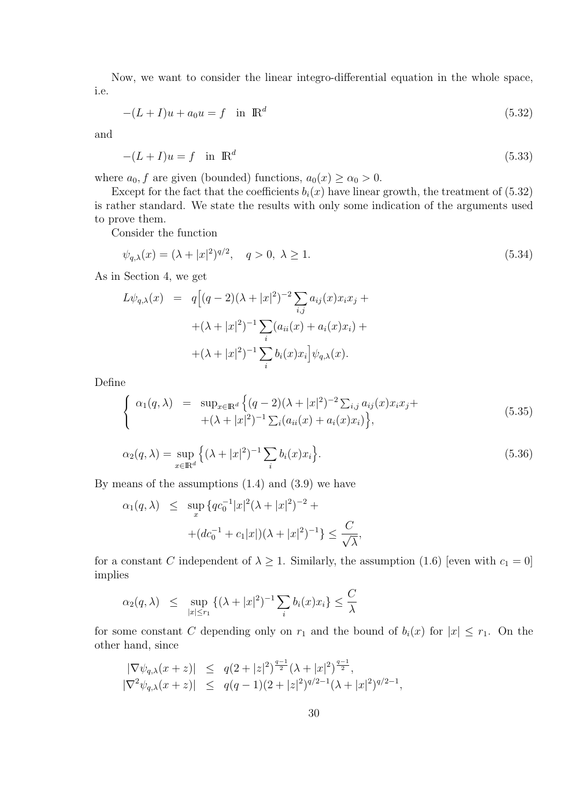Now, we want to consider the linear integro-differential equation in the whole space, i.e.

$$
-(L+I)u + a_0u = f \quad \text{in } \mathbb{R}^d
$$
\n
$$
(5.32)
$$

and

$$
-(L+I)u = f \quad \text{in } \mathbb{R}^d \tag{5.33}
$$

where  $a_0, f$  are given (bounded) functions,  $a_0(x) \ge \alpha_0 > 0$ .

Except for the fact that the coefficients  $b_i(x)$  have linear growth, the treatment of (5.32) is rather standard. We state the results with only some indication of the arguments used to prove them.

Consider the function

$$
\psi_{q,\lambda}(x) = (\lambda + |x|^2)^{q/2}, \quad q > 0, \ \lambda \ge 1. \tag{5.34}
$$

As in Section 4, we get

$$
L\psi_{q,\lambda}(x) = q\Big[(q-2)(\lambda+|x|^2)^{-2} \sum_{i,j} a_{ij}(x)x_i x_j +
$$
  
 
$$
+(\lambda+|x|^2)^{-1} \sum_i (a_{ii}(x) + a_i(x)x_i) +
$$
  
 
$$
+(\lambda+|x|^2)^{-1} \sum_i b_i(x)x_i\Big]\psi_{q,\lambda}(x).
$$

Define

$$
\begin{cases}\n\alpha_1(q,\lambda) = \sup_{x \in \mathbb{R}^d} \left\{ (q-2)(\lambda + |x|^2)^{-2} \sum_{i,j} a_{ij}(x) x_i x_j + \right. \\
\quad + (\lambda + |x|^2)^{-1} \sum_i (a_{ii}(x) + a_i(x) x_i) \right\},\n\end{cases} \tag{5.35}
$$

$$
\alpha_2(q,\lambda) = \sup_{x \in \mathbb{R}^d} \left\{ (\lambda + |x|^2)^{-1} \sum_i b_i(x) x_i \right\}.
$$
\n(5.36)

By means of the assumptions  $(1.4)$  and  $(3.9)$  we have

$$
\alpha_1(q,\lambda) \le \sup_x \{qc_0^{-1}|x|^2(\lambda+|x|^2)^{-2} + (dc_0^{-1}+c_1|x|)(\lambda+|x|^2)^{-1}\} \le \frac{C}{\sqrt{\lambda}},
$$

for a constant *C* independent of  $\lambda \geq 1$ . Similarly, the assumption (1.6) [even with  $c_1 = 0$ ] implies

$$
\alpha_2(q,\lambda) \leq \sup_{|x| \leq r_1} \left\{ (\lambda + |x|^2)^{-1} \sum_i b_i(x) x_i \right\} \leq \frac{C}{\lambda}
$$

for some constant *C* depending only on  $r_1$  and the bound of  $b_i(x)$  for  $|x| \leq r_1$ . On the other hand, since

$$
\begin{array}{rcl}\n|\nabla \psi_{q,\lambda}(x+z)| & \leq & q(2+|z|^2)^{\frac{q-1}{2}}(\lambda+|x|^2)^{\frac{q-1}{2}}, \\
|\nabla^2 \psi_{q,\lambda}(x+z)| & \leq & q(q-1)(2+|z|^2)^{q/2-1}(\lambda+|x|^2)^{q/2-1},\n\end{array}
$$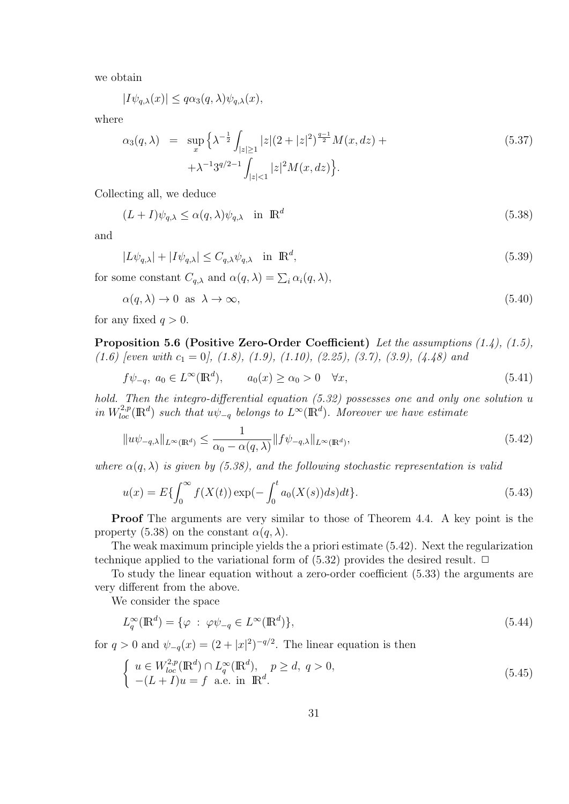we obtain

$$
|I\psi_{q,\lambda}(x)| \le q\alpha_3(q,\lambda)\psi_{q,\lambda}(x),
$$

where

$$
\alpha_3(q,\lambda) = \sup_x \left\{ \lambda^{-\frac{1}{2}} \int_{|z| \ge 1} |z|(2+|z|^2)^{\frac{q-1}{2}} M(x,dz) + \lambda^{-1} 3^{q/2-1} \int_{|z| < 1} |z|^2 M(x,dz) \right\}.
$$
\n
$$
(5.37)
$$

Collecting all, we deduce

$$
(L+I)\psi_{q,\lambda} \le \alpha(q,\lambda)\psi_{q,\lambda} \quad \text{in } \mathbb{R}^d \tag{5.38}
$$

and

$$
|L\psi_{q,\lambda}| + |I\psi_{q,\lambda}| \le C_{q,\lambda}\psi_{q,\lambda} \quad \text{in } \mathbb{R}^d,
$$
\n
$$
(5.39)
$$

for some constant  $C_{q,\lambda}$  and  $\alpha(q,\lambda) = \sum_i \alpha_i(q,\lambda)$ ,

$$
\alpha(q,\lambda) \to 0 \quad \text{as} \quad \lambda \to \infty,\tag{5.40}
$$

for any fixed  $q > 0$ .

**Proposition 5.6 (Positive Zero-Order Coefficient)** *Let the assumptions (1.4), (1.5), (1.6) [even with c*<sup>1</sup> = 0*], (1.8), (1.9), (1.10), (2.25), (3.7), (3.9), (4.48) and*

$$
f\psi_{-q}, \ a_0 \in L^{\infty}(\mathbb{R}^d), \qquad a_0(x) \ge \alpha_0 > 0 \quad \forall x,
$$
\n
$$
(5.41)
$$

*hold.* Then the integro-differential equation (5.32) possesses one and only one solution *u in*  $W_{loc}^{2,p}(\mathbb{R}^d)$  *such that*  $u\psi_{-q}$  *belongs to*  $L^{\infty}(\mathbb{R}^d)$ *. Moreover we have estimate* 

$$
||u\psi_{-q,\lambda}||_{L^{\infty}(\mathbb{R}^d)} \le \frac{1}{\alpha_0 - \alpha(q,\lambda)} ||f\psi_{-q,\lambda}||_{L^{\infty}(\mathbb{R}^d)},
$$
\n(5.42)

*where*  $\alpha(q, \lambda)$  *is given by (5.38), and the following stochastic representation is valid* 

$$
u(x) = E\{\int_0^\infty f(X(t)) \exp(-\int_0^t a_0(X(s))ds)dt\}.
$$
\n(5.43)

**Proof** The arguments are very similar to those of Theorem 4.4. A key point is the property (5.38) on the constant  $\alpha(q, \lambda)$ .

The weak maximum principle yields the a priori estimate (5.42). Next the regularization technique applied to the variational form of  $(5.32)$  provides the desired result.  $\Box$ 

To study the linear equation without a zero-order coefficient (5.33) the arguments are very different from the above.

We consider the space

$$
L_q^{\infty}(\mathbb{R}^d) = \{ \varphi \; : \; \varphi \psi_{-q} \in L^{\infty}(\mathbb{R}^d) \},\tag{5.44}
$$

for  $q > 0$  and  $\psi_{-q}(x) = (2 + |x|^2)^{-q/2}$ . The linear equation is then

$$
\begin{cases}\n u \in W_{loc}^{2,p}(\mathbb{R}^d) \cap L_q^{\infty}(\mathbb{R}^d), & p \ge d, q > 0, \\
 -(L+I)u = f \quad \text{a.e. in } \mathbb{R}^d.\n\end{cases}
$$
\n(5.45)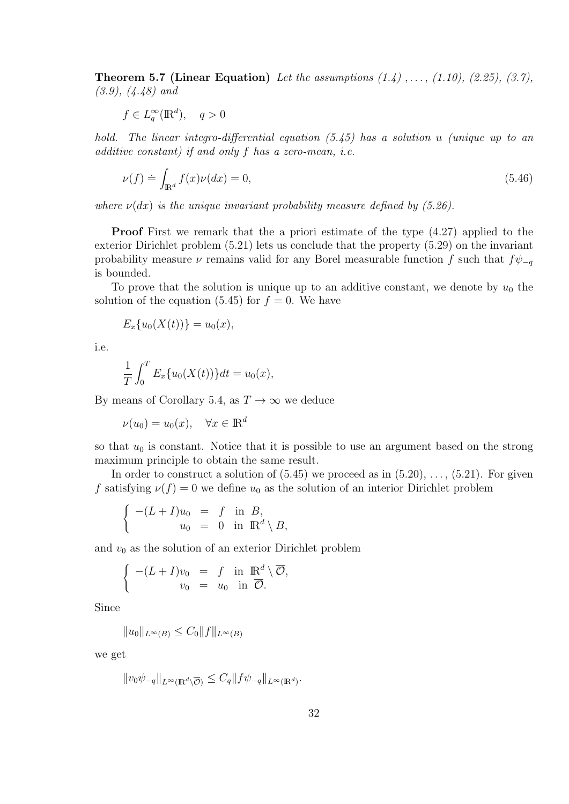**Theorem 5.7 (Linear Equation)** *Let the assumptions (1.4) , . . . , (1.10), (2.25), (3.7), (3.9), (4.48) and*

$$
f \in L_q^{\infty}(\mathbb{R}^d), \quad q > 0
$$

*hold. The linear integro-differential equation (5.45) has a solution u (unique up to an additive constant) if and only f has a zero-mean, i.e.*

$$
\nu(f) \doteq \int_{\mathbb{R}^d} f(x)\nu(dx) = 0,\tag{5.46}
$$

*where*  $\nu(dx)$  *is the unique invariant probability measure defined by (5.26).* 

**Proof** First we remark that the a priori estimate of the type  $(4.27)$  applied to the exterior Dirichlet problem (5.21) lets us conclude that the property (5.29) on the invariant probability measure *ν* remains valid for any Borel measurable function *f* such that  $f\psi_{-q}$ is bounded.

To prove that the solution is unique up to an additive constant, we denote by  $u_0$  the solution of the equation  $(5.45)$  for  $f = 0$ . We have

$$
E_x\{u_0(X(t))\} = u_0(x),
$$

i.e.

$$
\frac{1}{T} \int_0^T E_x \{ u_0(X(t)) \} dt = u_0(x),
$$

By means of Corollary 5.4, as  $T \to \infty$  we deduce

 $\nu(u_0) = u_0(x), \quad \forall x \in \mathbb{R}^d$ 

so that  $u_0$  is constant. Notice that it is possible to use an argument based on the strong maximum principle to obtain the same result.

In order to construct a solution of  $(5.45)$  we proceed as in  $(5.20), \ldots, (5.21)$ . For given *f* satisfying  $\nu(f) = 0$  we define  $u_0$  as the solution of an interior Dirichlet problem

$$
\begin{cases}\n-(L+I)u_0 = f \text{ in } B, \\
u_0 = 0 \text{ in } \mathbb{R}^d \setminus B,\n\end{cases}
$$

and  $v_0$  as the solution of an exterior Dirichlet problem

$$
\begin{cases}\n-(L+I)v_0 = f \text{ in } \mathbb{R}^d \setminus \overline{\mathcal{O}},\\
v_0 = u_0 \text{ in } \overline{\mathcal{O}}.\n\end{cases}
$$

Since

*∣* $|u_0|$ <sub>*L*∞(*B*)  $\leq C_0$  $||f||$ <sub>*L*∞(*B*)</sub></sub>

we get

$$
||v_0 \psi_{-q}||_{L^{\infty}(\mathbb{R}^d \setminus \overline{\mathcal{O}})} \leq C_q ||f \psi_{-q}||_{L^{\infty}(\mathbb{R}^d)}.
$$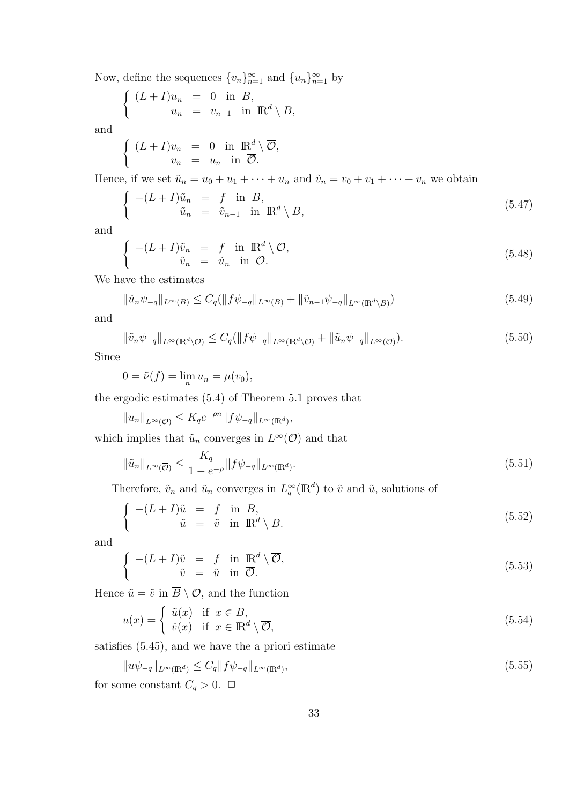Now, define the sequences  $\{v_n\}_{n=1}^{\infty}$  and  $\{u_n\}_{n=1}^{\infty}$  by

$$
(L+I)u_n = 0 \text{ in } B,
$$
  

$$
u_n = v_{n-1} \text{ in } \mathbb{R}^d \setminus B,
$$

and

 $\sqrt{ }$ 

 $\sqrt{ }$ 

$$
(L+I)v_n = 0 \text{ in } \mathbb{R}^d \setminus \overline{\mathcal{O}},
$$
  

$$
v_n = u_n \text{ in } \overline{\mathcal{O}}.
$$

Hence, if we set  $\tilde{u}_n = u_0 + u_1 + \cdots + u_n$  and  $\tilde{v}_n = v_0 + v_1 + \cdots + v_n$  we obtain

$$
\begin{cases}\n-(L+I)\tilde{u}_n &= f \text{ in } B, \\
\tilde{u}_n &= \tilde{v}_{n-1} \text{ in } \mathbb{R}^d \setminus B,\n\end{cases}
$$
\n(5.47)

and

$$
\begin{cases}\n-(L+I)\tilde{v}_n &= f \text{ in } \mathbb{R}^d \setminus \overline{\mathcal{O}},\\ \tilde{v}_n &= \tilde{u}_n \text{ in } \overline{\mathcal{O}}.\n\end{cases}
$$
\n(5.48)

We have the estimates

$$
\|\tilde{u}_n\psi_{-q}\|_{L^{\infty}(B)} \le C_q (\|f\psi_{-q}\|_{L^{\infty}(B)} + \|\tilde{v}_{n-1}\psi_{-q}\|_{L^{\infty}(\mathbb{R}^d \setminus B)})
$$
(5.49)

and

$$
\|\tilde{v}_n\psi_{-q}\|_{L^{\infty}(\mathbb{R}^d\setminus\overline{\mathcal{O}})} \le C_q (\|f\psi_{-q}\|_{L^{\infty}(\mathbb{R}^d\setminus\overline{\mathcal{O}})} + \|\tilde{u}_n\psi_{-q}\|_{L^{\infty}(\overline{\mathcal{O}})}). \tag{5.50}
$$

Since

$$
0 = \tilde{\nu}(f) = \lim_{n} u_n = \mu(v_0),
$$

the ergodic estimates (5.4) of Theorem 5.1 proves that

$$
||u_n||_{L^{\infty}(\overline{\mathcal{O}})} \leq K_q e^{-\rho n} ||f \psi_{-q}||_{L^{\infty}(\mathbb{R}^d)},
$$

which implies that  $\tilde{u}_n$  converges in  $L^{\infty}(\overline{O})$  and that

$$
\|\tilde{u}_n\|_{L^{\infty}(\overline{\mathcal{O}})} \le \frac{K_q}{1 - e^{-\rho}} \|f\psi_{-q}\|_{L^{\infty}(\mathbb{R}^d)}.
$$
\n(5.51)

Therefore,  $\tilde{v}_n$  and  $\tilde{u}_n$  converges in  $L_q^{\infty}(\mathbb{R}^d)$  to  $\tilde{v}$  and  $\tilde{u}$ , solutions of

$$
\begin{cases}\n-(L+I)\tilde{u} &= f \text{ in } B, \\
\tilde{u} &= \tilde{v} \text{ in } \mathbb{R}^d \setminus B.\n\end{cases}
$$
\n(5.52)

and

$$
\begin{cases}\n-(L+I)\tilde{v} &= f \text{ in } \mathbb{R}^d \setminus \overline{\mathcal{O}},\\ \tilde{v} &= \tilde{u} \text{ in } \overline{\mathcal{O}}.\n\end{cases}
$$
\n(5.53)

Hence  $\tilde{u} = \tilde{v}$  in  $\overline{B} \setminus \mathcal{O}$ , and the function

$$
u(x) = \begin{cases} \tilde{u}(x) & \text{if } x \in B, \\ \tilde{v}(x) & \text{if } x \in \mathbb{R}^d \setminus \overline{\mathcal{O}}, \end{cases}
$$
 (5.54)

satisfies (5.45), and we have the a priori estimate

$$
||u\psi_{-q}||_{L^{\infty}(\mathbb{R}^d)} \le C_q ||f\psi_{-q}||_{L^{\infty}(\mathbb{R}^d)},
$$
\n(5.55)

for some constant  $C_q > 0$ .  $\Box$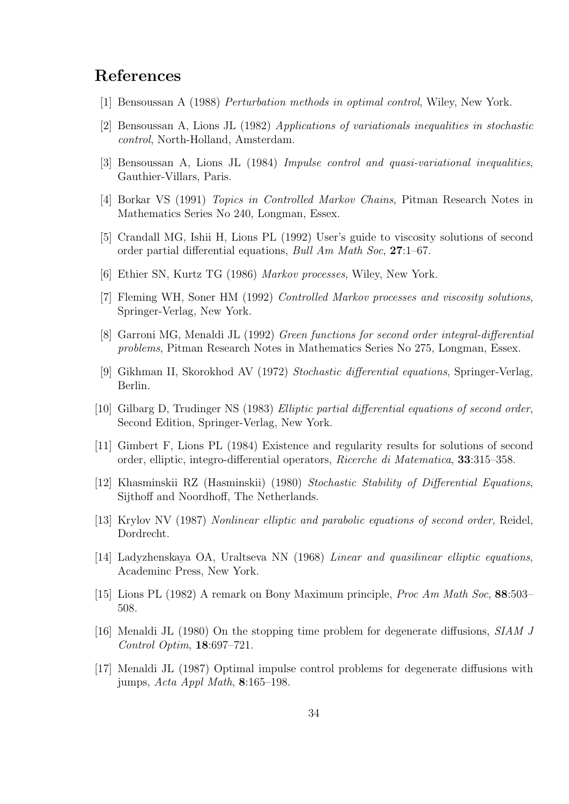### **References**

- [1] Bensoussan A (1988) *Perturbation methods in optimal control*, Wiley, New York.
- [2] Bensoussan A, Lions JL (1982) *Applications of variationals inequalities in stochastic control*, North-Holland, Amsterdam.
- [3] Bensoussan A, Lions JL (1984) *Impulse control and quasi-variational inequalities*, Gauthier-Villars, Paris.
- [4] Borkar VS (1991) *Topics in Controlled Markov Chains*, Pitman Research Notes in Mathematics Series No 240, Longman, Essex.
- [5] Crandall MG, Ishii H, Lions PL (1992) User's guide to viscosity solutions of second order partial differential equations, *Bull Am Math Soc*, **27**:1–67.
- [6] Ethier SN, Kurtz TG (1986) *Markov processes*, Wiley, New York.
- [7] Fleming WH, Soner HM (1992) *Controlled Markov processes and viscosity solutions*, Springer-Verlag, New York.
- [8] Garroni MG, Menaldi JL (1992) *Green functions for second order integral-differential problems*, Pitman Research Notes in Mathematics Series No 275, Longman, Essex.
- [9] Gikhman II, Skorokhod AV (1972) *Stochastic differential equations*, Springer-Verlag, Berlin.
- [10] Gilbarg D, Trudinger NS (1983) *Elliptic partial differential equations of second order*, Second Edition, Springer-Verlag, New York.
- [11] Gimbert F, Lions PL (1984) Existence and regularity results for solutions of second order, elliptic, integro-differential operators, *Ricerche di Matematica*, **33**:315–358.
- [12] Khasminskii RZ (Hasminskii) (1980) *Stochastic Stability of Differential Equations*, Sijthoff and Noordhoff, The Netherlands.
- [13] Krylov NV (1987) *Nonlinear elliptic and parabolic equations of second order*, Reidel, Dordrecht.
- [14] Ladyzhenskaya OA, Uraltseva NN (1968) *Linear and quasilinear elliptic equations*, Academinc Press, New York.
- [15] Lions PL (1982) A remark on Bony Maximum principle, *Proc Am Math Soc*, **88**:503– 508.
- [16] Menaldi JL (1980) On the stopping time problem for degenerate diffusions, *SIAM J Control Optim*, **18**:697–721.
- [17] Menaldi JL (1987) Optimal impulse control problems for degenerate diffusions with jumps, *Acta Appl Math*, **8**:165–198.